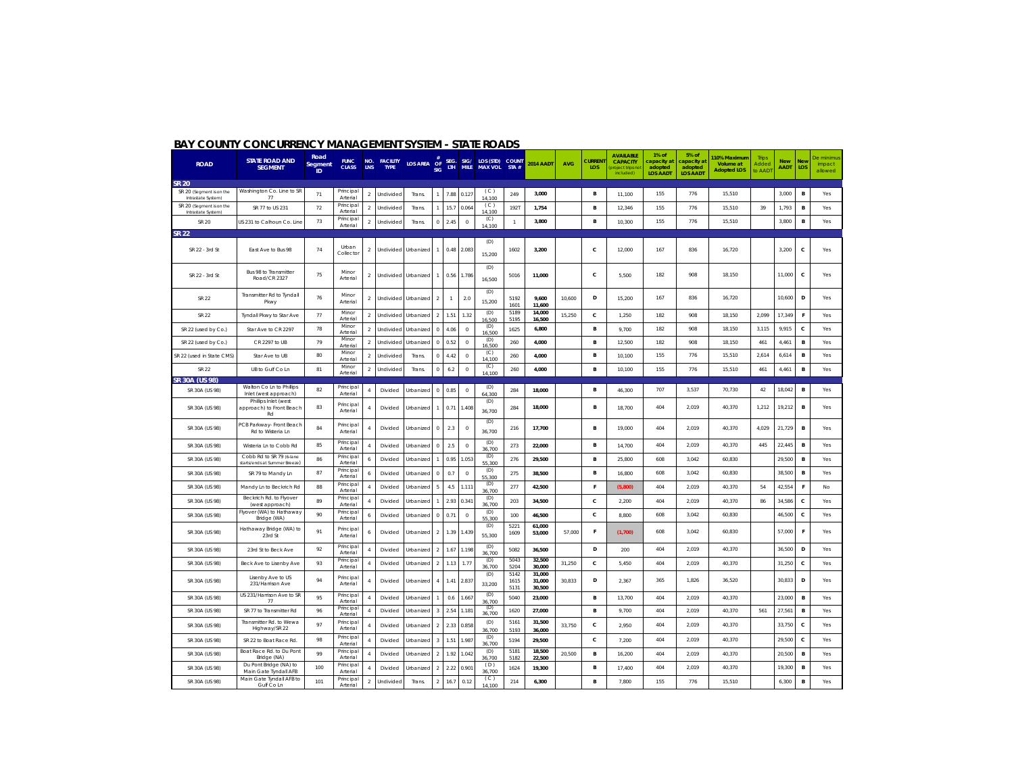|                                                | <u>DAT COUNTE CONCURRENCT MIANAGEMENT STSIEM - SIATE ROADS</u> |                       |                             |                |                             |           |                |                |         |                                                                 |                      |                            |            |                      |                                                                      |                                                     |                                                    |                                                |                          |                           |                   |                                |
|------------------------------------------------|----------------------------------------------------------------|-----------------------|-----------------------------|----------------|-----------------------------|-----------|----------------|----------------|---------|-----------------------------------------------------------------|----------------------|----------------------------|------------|----------------------|----------------------------------------------------------------------|-----------------------------------------------------|----------------------------------------------------|------------------------------------------------|--------------------------|---------------------------|-------------------|--------------------------------|
| <b>ROAD</b>                                    | <b>STATE ROAD AND</b><br><b>SEGMENT</b>                        | Road<br>Segment<br>ID | <b>FUNC</b><br><b>CLASS</b> | LNS            | NO. FACILITY<br><b>TYPE</b> |           | <b>SIG</b>     |                |         | LOS AREA OF SEG. SIG/ LOS (STD) COUNT<br>LTH MILE MAX VOL STA # |                      | 2014 AADT                  | <b>AVG</b> | <b>CURREN</b><br>LOS | <b>AVAILABLE</b><br><b>CAPACITY</b><br>project trips no<br>included) | $1%$ of<br>apacity at<br>adopted<br><b>LOS AADI</b> | 5% of<br>capacity al<br>adopted<br><b>LOS AADI</b> | 10% Maximun<br>Volume at<br><b>Adopted LOS</b> | Trips<br>Addec<br>to AAD | <b>New</b><br><b>AADT</b> | <b>New</b><br>LOS | De minimu<br>impact<br>allowed |
| <b>SR 20</b>                                   |                                                                |                       |                             |                |                             |           |                |                |         |                                                                 |                      |                            |            |                      |                                                                      |                                                     |                                                    |                                                |                          |                           |                   |                                |
| SR 20 (Segment is on the<br>Intrastate System) | Washington Co. Line to SR<br>77                                | 71                    | Principal<br>Arterial       | $\overline{2}$ | Undivided                   | Trans     |                | 7.88           | 0.127   | (C)<br>14,100                                                   | 249                  | 3,000                      |            | В                    | 11,100                                                               | 155                                                 | 776                                                | 15,510                                         |                          | 3,000                     | B                 | Yes                            |
| SR 20 (Segment is on the<br>Intrastate System) | SR 77 to US 231                                                | 72                    | Principal<br>Arterial       | $\overline{2}$ | Undivided                   | Trans     |                | 15.7           | 0.064   | (C)<br>14.100                                                   | <b>192T</b>          | 1,754                      |            | R.                   | 12,346                                                               | 155                                                 | 776                                                | 15,510                                         | 39                       | 1,793                     | в                 | Yes                            |
| SR 20                                          | US 231 to Calhoun Co. Line                                     | 73                    | Principal<br>Arterial       | $\overline{2}$ | Undivided                   | Trans     | $\circ$        | 2.45           | $\,0\,$ | (C)<br>14.100                                                   | $\overline{1}$       | 3,800                      |            | В                    | 10,300                                                               | 155                                                 | 776                                                | 15,510                                         |                          | 3,800                     | $\, {\bf B}$      | Yes                            |
| <b>SR 22</b>                                   |                                                                |                       |                             |                |                             |           |                |                |         |                                                                 |                      |                            |            |                      |                                                                      |                                                     |                                                    |                                                |                          |                           |                   |                                |
| SR 22 - 3rd St                                 | East Ave to Bus 98                                             | 74                    | Urban<br>Collector          | $\overline{2}$ | Undivided                   | Urbanized |                | 0.48           | 2.083   | (D)<br>15,200                                                   | 1602                 | 3,200                      |            | c                    | 12,000                                                               | 167                                                 | 836                                                | 16,720                                         |                          | 3.200                     | $\mathbf c$       | Yes                            |
| SR 22 - 3rd St                                 | Bus 98 to Transmitter<br>Road/CR 2327                          | 75                    | Minor<br>Arterial           | $\overline{2}$ | Undivided                   | Urbanized |                | 0.56           | 1.786   | (D)<br>16,500                                                   | 5016                 | 11,000                     |            | c                    | 5,500                                                                | 182                                                 | 908                                                | 18,150                                         |                          | 11,000                    | с                 | Yes                            |
| SR 22                                          | Transmitter Rd to Tyndall<br>Pkwy                              | 76                    | Minor<br>Arterial           | $\overline{a}$ | Undivided                   | Urbanized | $\overline{2}$ | $\overline{1}$ | 2.0     | (D)<br>15,200                                                   | 5192<br>1601         | 9,600<br>11,600            | 10,600     | D                    | 15.200                                                               | 167                                                 | 836                                                | 16,720                                         |                          | 10,600                    | D                 | Yes                            |
| SR 22                                          | Tyndall Pkwy to Star Ave                                       | 77                    | Minor<br>Arterial           | $\overline{2}$ | Undivided                   | Urbanized | $\overline{z}$ | 1.51           | 1.32    | (D)<br>16.500                                                   | 5189<br>5195         | 14.000<br>16,500           | 15,250     | с                    | 1,250                                                                | 182                                                 | 908                                                | 18,150                                         | 2,099                    | 17,349                    | F                 | Yes                            |
| SR 22 (used by Co.)                            | Star Ave to CR 2297                                            | 78                    | Minor<br>Arterial           | $\overline{2}$ | Undivided                   | Urbanized | $\circ$        | 4.06           | $\circ$ | (D)<br>16,500                                                   | 1625                 | 6.800                      |            | <b>B</b>             | 9.700                                                                | 182                                                 | 908                                                | 18,150                                         | 3,115                    | 9,915                     | $\mathbf c$       | Yes                            |
| SR 22 (used by Co.)                            | CR 2297 to UB                                                  | 79                    | Minor<br>Arterial           | $\overline{2}$ | Undivided                   | Urbanized | $\,0\,$        | 0.52           | $\,0\,$ | (D)<br>16,500                                                   | 260                  | 4,000                      |            | B                    | 12,500                                                               | 182                                                 | 908                                                | 18,150                                         | 461                      | 4,461                     | в                 | Yes                            |
| SR 22 (used in State CMS)                      | Star Ave to UB                                                 | 80                    | Minor<br>Arterial           | $\overline{2}$ | Undivided                   | Trans     | $\circ$        | 4.42           | $\,$ 0  | (C)<br>14,100                                                   | 260                  | 4,000                      |            | В                    | 10,100                                                               | 155                                                 | 776                                                | 15,510                                         | 2,614                    | 6,614                     | $\, {\bf B}$      | Yes                            |
| SR 22                                          | UB to Gulf Co Ln                                               | 81                    | Minor<br>Arterial           | $\overline{2}$ | Undivided                   | Trans     | $\circ$        | 6.2            | $\,$ 0  | (C)<br>14,100                                                   | 260                  | 4,000                      |            | в                    | 10,100                                                               | 155                                                 | 776                                                | 15,510                                         | 461                      | 4,461                     | B                 | Yes                            |
| SR 30A (US 98)                                 |                                                                |                       |                             |                |                             |           |                |                |         |                                                                 |                      |                            |            |                      |                                                                      |                                                     |                                                    |                                                |                          |                           |                   |                                |
| SR 30A (US 98)                                 | Walton Co Ln to Phillips<br>Inlet (west approach)              | 82                    | Principal<br>Arterial       |                | Divided                     | Urbanized | $\circ$        | 0.85           | $\,$ 0  | (D)<br>64.300                                                   | 284                  | 18,000                     |            | $\,$ B               | 46,300                                                               | 707                                                 | 3,537                                              | 70,730                                         | 42                       | 18,042                    | $\, {\bf B}$      | Yes                            |
| SR 30A (US 98)                                 | Phillips Inlet (west<br>approach) to Front Beach<br>Rd         | 83                    | Principal<br>Arterial       |                | Divided                     | Urbanized |                | 0.71           | .408    | (D)<br>36,700                                                   | 284                  | 18,000                     |            | B                    | 18,700                                                               | 404                                                 | 2,019                                              | 40,370                                         | 1.212                    | 19,212                    | B                 | Yes                            |
| SR 30A (US 98)                                 | PCB Parkway- Front Beach<br>Rd to Wisteria Ln                  | 84                    | Principal<br>Arterial       |                | Divided                     | Urbanized | $\circ$        | 2.3            | $\,0\,$ | (D)<br>36,700                                                   | 216                  | 17,700                     |            | В                    | 19.000                                                               | 404                                                 | 2,019                                              | 40,370                                         | 4,029                    | 21,729                    | $\, {\bf B}$      | Yes                            |
| SR 30A (US 98)                                 | Wisteria Ln to Cobb Rd                                         | 85                    | Principal<br>Arterial       |                | Divided                     | Urbanized | $\mathbf 0$    | 2.5            | $\,0\,$ | (D)<br>36,700                                                   | 273                  | 22,000                     |            | B                    | 14,700                                                               | 404                                                 | 2,019                                              | 40,370                                         | 445                      | 22,445                    | B                 | Yes                            |
| SR 30A (US 98)                                 | Cobb Rd to SR 79 (6-lane<br>starts/ends at Summer Breeze)      | 86                    | Principal<br>Arterial       | 6              | Divided                     | Urbanized |                | 0.95           | 1.053   | (D)<br>55.300                                                   | 276                  | 29.500                     |            | R.                   | 25.800                                                               | 608                                                 | 3.042                                              | 60,830                                         |                          | 29,500                    | B <sub>1</sub>    | Yes                            |
| SR 30A (US 98)                                 | SR 79 to Mandy Ln                                              | 87                    | Principal<br>Arterial       | 6              | Divided                     | Urbanized | $\mathbb O$    | 0.7            | $\,$ 0  | (D)<br>55.300                                                   | 275                  | 38,500                     |            | R.                   | 16,800                                                               | 608                                                 | 3,042                                              | 60,830                                         |                          | 38,500                    | в                 | Yes                            |
| SR 30A (US 98)                                 | Mandy Ln to Beckrich Rd                                        | 88                    | Principal<br>Arterial       |                | Divided                     | Urbanized | $\overline{5}$ | 4.5            | 11'     | (D)<br>36,700                                                   | 277                  | 42,500                     |            | E                    | (5,800)                                                              | 404                                                 | 2.019                                              | 40.370                                         | 54                       | 42,554                    | F                 | No                             |
| SR 30A (US 98)                                 | Beckrich Rd. to Flyover<br>(west approach)                     | 89                    | Principal<br>Arterial       |                | Divided                     | Urbanized |                | 2.93           | 0.341   | (D)<br>36,700                                                   | 203                  | 34,500                     |            | $\mathbf{C}$         | 2.200                                                                | 404                                                 | 2.019                                              | 40,370                                         | 86                       | 34,586                    | $\mathbf c$       | Yes                            |
| SR 30A (US 98)                                 | Flyover (WA) to Hathaway<br>Bridge (WA)                        | 90                    | Principal<br>Arterial       |                | Divided                     | Urbanized | $\circ$        | 0.71           | $\circ$ | (D)<br>55.300                                                   | 100                  | 46,500                     |            | c                    | 8,800                                                                | 608                                                 | 3,042                                              | 60,830                                         |                          | 46,500                    | c                 | Yes                            |
| SR 30A (US 98)                                 | Hathaway Bridge (WA) to<br>23rd St                             | 91                    | Principal<br>Arterial       |                | Divided                     | Urbanized | $\overline{2}$ | 1.39           | 1.439   | (D)<br>55,300                                                   | 5221<br>1609         | 61,000<br>53,000           | 57.000     | F                    | (1,700)                                                              | 608                                                 | 3.042                                              | 60.830                                         |                          | 57,000                    | F                 | Yes                            |
| SR 30A (US 98)                                 | 23rd St to Beck Ave                                            | 92                    | Principal<br>Arterial       |                | Divided                     | Urbanized | $\overline{2}$ | 1.67           | 1.198   | (D)<br>36,700                                                   | 5082                 | 36,500                     |            | D                    | 200                                                                  | 404                                                 | 2,019                                              | 40,370                                         |                          | 36,500                    | D                 | Yes                            |
| SR 30A (US 98)                                 | Beck Ave to Lisenby Ave                                        | 93                    | Principal<br>Arterial       |                | Divided                     | Urbanized | $\overline{a}$ | 1.13           | 1.77    | (D)<br>36,700                                                   | 5043<br>5204         | 32,500<br>30,000           | 31,250     | $\mathbf{C}$         | 5,450                                                                | 404                                                 | 2.019                                              | 40,370                                         |                          | 31,250                    | $\mathbf c$       | Yes                            |
| SR 30A (US 98)                                 | Lisenby Ave to US<br>231/Harrison Ave                          | 94                    | Principal<br>Arterial       |                | Divided                     | Urbanized | 4              | 1.41           | 2.837   | (D)<br>33,200                                                   | 5142<br>1615<br>5131 | 31,000<br>31.000<br>30,500 | 30.833     | D                    | 2.367                                                                | 365                                                 | 1,826                                              | 36,520                                         |                          | 30,833                    | D                 | Yes                            |
| SR 30A (US 98)                                 | US 231/Harrison Ave to SR<br>77                                | 95                    | Principal<br>Arterial       |                | Divided                     | Urbanized |                | 0.6            | 1.667   | (D)<br>36,700                                                   | 5040                 | 23,000                     |            | B                    | 13,700                                                               | 404                                                 | 2,019                                              | 40,370                                         |                          | 23,000                    | в                 | Yes                            |
| SR 30A (US 98)                                 | SR 77 to Transmitter Rd                                        | 96                    | Principal<br>Arterial       |                | Divided                     | Urbanized | 3              | 2.54           | 1.181   | (D)<br>36,700                                                   | 1620                 | 27,000                     |            | в                    | 9,700                                                                | 404                                                 | 2,019                                              | 40,370                                         | 561                      | 27,561                    | B                 | Yes                            |
| SR 30A (US 98)                                 | Transmitter Rd. to Wewa<br>Highway/SR 22                       | 97                    | Principal<br>Arterial       |                | Divided                     | Urbanized | $\overline{2}$ | 2.33           | 0.858   | (D)<br>36,700                                                   | 5161<br>5193         | 31,500<br>36,000           | 33,750     | c                    | 2,950                                                                | 404                                                 | 2,019                                              | 40,370                                         |                          | 33,750                    | c                 | <b>Yes</b>                     |
| SR 30A (US 98)                                 | SR 22 to Boat Race Rd.                                         | 98                    | Principal<br>Arterial       |                | Divided                     | Urbanized | 3              | 1.51           | 1.987   | (D)<br>36.700                                                   | 5194                 | 29.500                     |            | $\mathbf{c}$         | 7 200                                                                | 404                                                 | 2,019                                              | 40,370                                         |                          | 29,500                    | $\mathbf c$       | Yes                            |
| SR 30A (US 98)                                 | Boat Race Rd, to Du Pont<br>Bridge (NA)                        | 99                    | Principal<br>Arterial       |                | Divided                     | Urbanized | $\overline{2}$ | 1.92           | 1.042   | (D)<br>36.700                                                   | 5181<br>5182         | 18,500<br>22,500           | 20,500     | B                    | 16,200                                                               | 404                                                 | 2,019                                              | 40,370                                         |                          | 20,500                    | в                 | Yes                            |
| SR 30A (US 98)                                 | Du Pont Bridge (NA) to<br>Main Gate Tyndall AFB                | 100                   | Principal<br>Arterial       |                | Divided                     | Urbanized | $\overline{2}$ | 2.22           | 0.90'   | (D)<br>36,700                                                   | 1624                 | 19,300                     |            | R.                   | 17,400                                                               | 404                                                 | 2,019                                              | 40.370                                         |                          | 19,300                    | B                 | Yes                            |
| SR 30A (US 98)                                 | Main Gate Tyndall AFB to<br>Gulf Co Ln                         | 101                   | Principal<br>Arterial       | $\mathcal{D}$  | Undivided                   | Trans     | $\overline{2}$ | 16.7           | 0.12    | (C)<br>14,100                                                   | 214                  | 6,300                      |            | R.                   | 7800                                                                 | 155                                                 | 776                                                | 15,510                                         |                          | 6,300                     | в                 | <b>Yes</b>                     |

## **BAY COUNTY CONCURRENCY MANAGEMENT SYSTEM - STATE ROADS**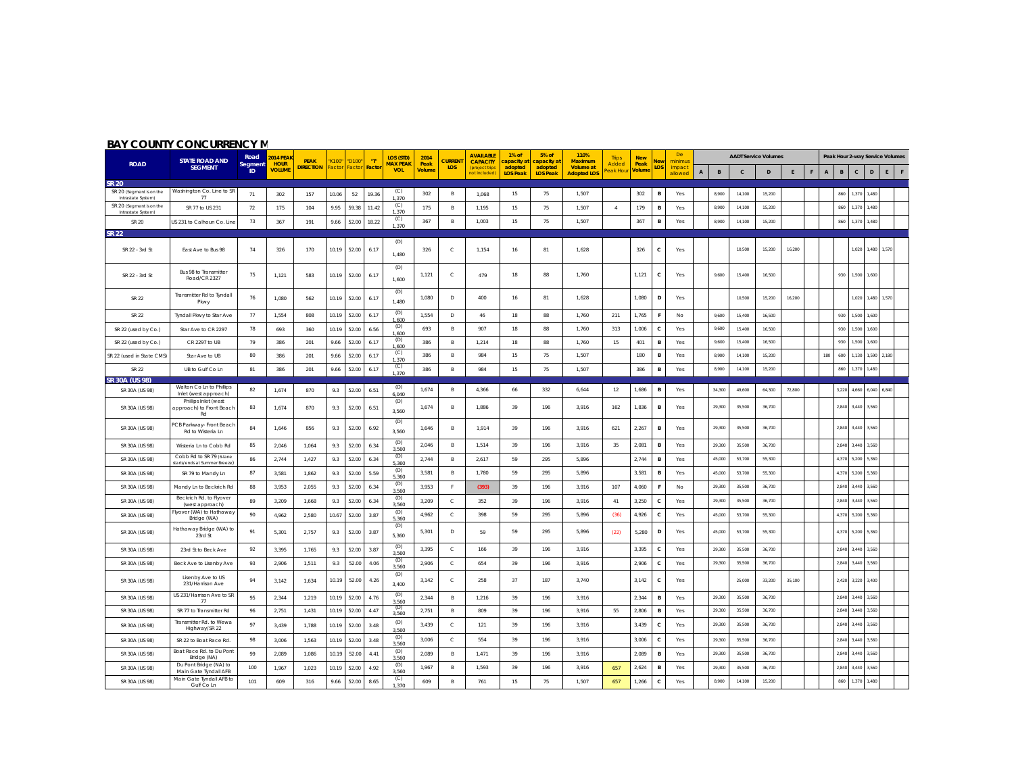## **BAY COUNTY CONCURRENCY M**

|                                                | <b>STATE ROAD AND</b>                                     | Road          | 014 PEAK<br><b>HOUR</b> | <b>PEAK</b>      | "K100" | <b>"D100</b> | T      | LOS (STD)<br><b>MAX PFAK</b> | 2014           | <b>CURRENT</b> | <b>AVAILABLE</b><br><b>CAPACITY</b> | 1% of<br>apacity a         | 5% of<br>capacity a        | 110%<br>Maximum                        | <b>Trip</b>     | New           | lev            | $\Gamma$<br>minimu |                                  |        |              | <b>AADT Service Volumes</b> |        |   |             |       |                   |                 | Peak Hour 2-way Service Volumes |
|------------------------------------------------|-----------------------------------------------------------|---------------|-------------------------|------------------|--------|--------------|--------|------------------------------|----------------|----------------|-------------------------------------|----------------------------|----------------------------|----------------------------------------|-----------------|---------------|----------------|--------------------|----------------------------------|--------|--------------|-----------------------------|--------|---|-------------|-------|-------------------|-----------------|---------------------------------|
| <b>ROAD</b>                                    | <b>SEGMENT</b>                                            | Segment<br>ID | <b>/OLUME</b>           | <b>DIRECTION</b> | Factor | Factor       | Factor | <b>VOL</b>                   | Peak<br>Volume | LOS            | (project trip<br>ot include         | adopted<br><b>LOS Peak</b> | adopted<br><b>LOS Peak</b> | <b>Volume at</b><br><b>Adopted LOS</b> | Added<br>eak Ho | Peak<br>/olum | LOS            | impac<br>allowed   | $\overline{A}$<br>$\overline{B}$ |        | $\mathbf{C}$ | D                           | E      | E | $\mathsf A$ | B     | $\mathbf{C}$      | $\mathsf D$     | E<br>F.                         |
| <b>SR 20</b>                                   |                                                           |               |                         |                  |        |              |        |                              |                |                |                                     |                            |                            |                                        |                 |               |                |                    |                                  |        |              |                             |        |   |             |       |                   |                 |                                 |
| SR 20 (Segment is on the<br>Intrastate System  | Washington Co. Line to SR<br>77                           | 71            | 302                     | 157              | 10.06  | 52           | 19.36  | (C)<br>1.370                 | 302            | B              | 1,068                               | 15                         | 75                         | 1,507                                  |                 | 302           | B              | Yes                | 8.900                            |        | 14,100       | 15,200                      |        |   |             | 860   | 1,370             | 1,480           |                                 |
| SR 20 (Segment is on the<br>Intrastate System) | SR 77 to US 231                                           | 72            | 175                     | 104              | 9.95   | 59.38        | 11.42  | (C)<br>1.370                 | 175            | B              | 1,195                               | 15                         | 75                         | 1,507                                  | $\overline{4}$  | 179           | в              | Yes                | 8,900                            |        | 14.100       | 15,200                      |        |   |             | 860   | 1.370             | 1.480           |                                 |
| SR 20                                          | US 231 to Calhoun Co. Line                                | 73            | 367                     | 191              | 9.66   | 52.00        | 18.22  | (C)<br>1.370                 | 367            | B              | 1,003                               | 15                         | 75                         | 1,507                                  |                 | 367           | B              | Yes                | 8.900                            |        | 14.100       | 15,200                      |        |   |             | 860   | 1,370             | 1,480           |                                 |
| <b>SR 22</b>                                   |                                                           |               |                         |                  |        |              |        |                              |                |                |                                     |                            |                            |                                        |                 |               |                |                    |                                  |        |              |                             |        |   |             |       |                   |                 |                                 |
| SR 22 - 3rd St                                 | East Ave to Bus 98                                        | 74            | 326                     | 170              | 10.19  | 52.00        | 6.17   | (D)<br>1,480                 | 326            | $\mathbb C$    | 1,154                               | 16                         | 81                         | 1,628                                  |                 | 326           | c              | Yes                |                                  |        | 10,500       | 15,200                      | 16,200 |   |             |       | 1,020             | 1.480           | 1.57                            |
| SR 22 - 3rd St                                 | <b>Bus 98 to Transmitter</b><br>Road/CR 2327              | 75            | 1 1 2 1                 | 583              | 10.19  | 52.00        | 6.17   | (D)<br>1.600                 | 1,121          | $\mathbb C$    | 479                                 | 18                         | 88                         | 1,760                                  |                 | 1,121         | c              | Yes                | 9,600                            |        | 15,400       | 16,500                      |        |   |             | 930   | 1,500             | 1,600           |                                 |
| SR 22                                          | Transmitter Rd to Tyndall<br>Pkwy                         | 76            | 1,080                   | 562              | 10.19  | 52.00        | 6.17   | (D)<br>1,480                 | 1,080          | D              | 400                                 | 16                         | 81                         | 1,628                                  |                 | 1,080         | D              | Yes                |                                  |        | 10.500       | 15,200                      | 16,200 |   |             |       | 1.020             | 1.480           | 1,570                           |
| SR 22                                          | Tyndall Pkwy to Star Ave                                  | 77            | 1,554                   | 808              | 10.19  | 52.00        | 6.17   | (D)<br>1,600                 | 1,554          | D.             | 46                                  | 18                         | 88                         | 1,760                                  | 211             | 1,765         | F.             | No                 | 9.600                            |        | 15.400       | 16,500                      |        |   |             | 930   | 1.500             | 1,600           |                                 |
| SR 22 (used by Co.)                            | Star Ave to CR 2297                                       | 78            | 693                     | 360              | 10.19  | 52.00        | 6.56   | (D)<br>1.600                 | 693            | B              | 907                                 | 18                         | 88                         | 1,760                                  | 313             | 1,006         | c              | Yes                | 9,600                            |        | 15,400       | 16,500                      |        |   |             | 930   | 1.500             | 1,600           |                                 |
| SR 22 (used by Co.)                            | CR 2297 to UR                                             | 79            | 386                     | 201              | 9.66   | 52.00        | 6.17   | (D)<br>600                   | 386            | $\overline{B}$ | 1.214                               | 18                         | 88                         | 1.760                                  | 15              | 401           | $\mathbf{B}$   | Yes                | 9.600                            |        | 15.400       | 16,500                      |        |   |             | 930   | 1.500             | 1,600           |                                 |
| SR 22 (used in State CMS                       | Star Ave to UB                                            | 80            | 386                     | 201              | 9.66   | 52.00        | 6.17   | (C)<br>1.370                 | 386            | B              | 984                                 | 15                         | 75                         | 1,507                                  |                 | 180           | B              | Yes                | 8.900                            |        | 14,100       | 15,200                      |        |   | 180         | 600   | 1.130             | 1.590           | 2.180                           |
| SR 22                                          | UB to Gulf Co Ln                                          | 81            | 386                     | 201              | 9.66   | 52.00        | 6.17   | (C)<br>1,370                 | 386            | B              | 984                                 | 15                         | 75                         | 1,507                                  |                 | 386           | B              | Yes                |                                  | 8,900  | 14,100       | 15,200                      |        |   |             | 860   | 1,370             | 1,480           |                                 |
| SR 30A (US 98)                                 |                                                           |               |                         |                  |        |              |        |                              |                |                |                                     |                            |                            |                                        |                 |               |                |                    |                                  |        |              |                             |        |   |             |       |                   |                 |                                 |
| SR 30A (US 98)                                 | Walton Co Ln to Phillips<br>Inlet (west approach)         | 82            | 1,674                   | 870              | 9.3    | 52.00        | 6.51   | (D)<br>6.040                 | 1,674          | B              | 4,366                               | 66                         | 332                        | 6,644                                  | 12              | 1,686         | B <sub>1</sub> | Yes                |                                  | 34.300 | 49.600       | 64.300                      | 72,800 |   |             | 3.220 | 4,660             | $6,040$ $6,840$ |                                 |
| SR 30A (US 98)                                 | Phillips Inlet (west<br>approach) to Front Beach<br>Rd    | 83            | 1,674                   | 870              | 9.3    | 52.00        | 6.51   | (D)<br>3.560                 | 1,674          | $\mathbf{R}$   | 1.886                               | 39                         | 196                        | 3.916                                  | 162             | 1,836         | B <sub>1</sub> | Yes                |                                  | 29.300 | 35.500       | 36,700                      |        |   |             | 2840  | 3.440             | 3.560           |                                 |
| SR 30A (US 98)                                 | PCB Parkway- Front Beach<br>Rd to Wisteria Ln             | 84            | 1,646                   | 856              | 9.3    | 52.00        | 6.92   | (D)<br>3.560                 | 1.646          | B              | 1914                                | 39                         | 196                        | 3,916                                  | 621             | 2,267         | B <sub>1</sub> | Yes                |                                  | 29,300 | 35,500       | 36,700                      |        |   |             | 2,840 | 3,440             | 3,560           |                                 |
| SR 30A (US 98)                                 | Wisteria Ln to Cobb Rd                                    | 85            | 2,046                   | 1,064            | 9.3    | 52.00        | 6.34   | (D)<br>3.560                 | 2,046          | B              | 1,514                               | 39                         | 196                        | 3,916                                  | 35              | 2,081         | B              | Yes                |                                  | 29,300 | 35,500       | 36,700                      |        |   |             |       | 2,840 3,440       | 3,560           |                                 |
| SR 30A (US 98)                                 | Cobb Rd to SR 79 (6-lane<br>starts/ends at Summer Breeze) | 86            | 2,744                   | 1,427            | 9.3    | 52.00        | 6.34   | (D)<br>5.360                 | 2,744          | B              | 2,617                               | 59                         | 295                        | 5.896                                  |                 | 2,744         | B              | Yes                |                                  | 45.000 | 53,700       | 55,300                      |        |   |             |       | 4,370 5,200       | 5.360           |                                 |
| SR 30A (US 98)                                 | SR 79 to Mandy Ln                                         | 87            | 3,581                   | 1.862            | 9.3    | 52.00        | 5.59   | (D)<br>5.360                 | 3,581          | $\,$ B         | 1,780                               | 59                         | 295                        | 5,896                                  |                 | 3,581         | B              | Yes                |                                  | 45,000 | 53,700       | 55,300                      |        |   |             |       | 4,370 5,200       | 5,360           |                                 |
| SR 30A (US 98)                                 | Mandy Ln to Beckrich Rd                                   | 88            | 3,953                   | 2,055            | 9.3    | 52.00        | 6.34   | (D)<br>3,560                 | 3,953          | - F            | (393)                               | 39                         | 196                        | 3,916                                  | 107             | 4,060         |                | No                 |                                  | 29,300 | 35,500       | 36,700                      |        |   |             | 2,840 | 3,440             | 3,560           |                                 |
| SR 30A (US 98)                                 | Beckrich Rd. to Flyover<br>(west approach)                | 89            | 3,209                   | 1,668            | 9.3    | 52.00        | 6.34   | (D)<br>3,560                 | 3,209          | $\mathbb C$    | 352                                 | 39                         | 196                        | 3,916                                  | 41              | 3,250         | c              | Yes                |                                  | 29,300 | 35,500       | 36,700                      |        |   |             |       | 2.840 3.440       | 3.560           |                                 |
| SR 30A (US 98)                                 | Flyover (WA) to Hathaway<br>Bridge (WA)                   | 90            | 4,962                   | 2.580            | 10.67  | 52.00        | 3.87   | (D)<br>5.360                 | 4,962          | $_{\rm C}$     | 398                                 | 59                         | 295                        | 5,896                                  | (36)            | 4,926         | $\mathbf c$    | Yes                |                                  | 45.000 | 53,700       | 55,300                      |        |   |             |       | 4,370 5,200 5,360 |                 |                                 |
| SR 30A (US 98)                                 | Hathaway Bridge (WA) to<br>23rd St                        | 91            | 5,301                   | 2,757            | 9.3    | 52.00        | 3.87   | (D)<br>5,360                 | 5,301          | D              | 59                                  | 59                         | 295                        | 5,896                                  | (22)            | 5,280         | D              | Yes                |                                  | 45,000 | 53.700       | 55,300                      |        |   |             | 4,370 | 5,200             | 5,360           |                                 |
| SR 30A (US 98)                                 | 23rd St to Beck Ave                                       | 92            | 3,395                   | 1,765            | 9.3    | 52.00        | 3.87   | (D)<br>3.560                 | 3.395          | $\mathcal{C}$  | 166                                 | 39                         | 196                        | 3.916                                  |                 | 3,395         | с              | Yes                |                                  | 29.300 | 35.500       | 36,700                      |        |   |             |       | 2,840 3,440       | 3.560           |                                 |
| SR 30A (US 98)                                 | Beck Ave to Lisenby Ave                                   | 93            | 2.906                   | 1,511            | 9.3    | 52.00        | 4.06   | (D)<br>3.560                 | 2,906          | $\mathbb{C}$   | 654                                 | 39                         | 196                        | 3,916                                  |                 | 2,906         | с              | Yes                |                                  | 29.300 | 35.500       | 36.700                      |        |   |             | 2,840 | 3,440             | 3.560           |                                 |
| SR 30A (US 98)                                 | Lisenby Ave to US<br>231/Harrison Ave                     | 94            | 3,142                   | 1,634            | 10.19  | 52.00        | 4.26   | (D)<br>3,400                 | 3,142          | $\mathbf C$    | 258                                 | 37                         | 187                        | 3,740                                  |                 | 3,142         | c              | Yes                |                                  |        | 25,000       | 33,200                      | 35,100 |   |             | 2.420 | 3,220             | 3.400           |                                 |
| SR 30A (US 98)                                 | US 231/Harrison Ave to SR<br>77                           | 95            | 2,344                   | 1,219            | 10.19  | 52.00        | 4.76   | (D)<br>3.560                 | 2,344          | B              | 1.216                               | 39                         | 196                        | 3.916                                  |                 | 2,344         | $\mathbf{B}$   | Yes                |                                  | 29.300 | 35,500       | 36,700                      |        |   |             | 2840  | 3.440             | 3.560           |                                 |
| SR 30A (US 98)                                 | SR 77 to Transmitter Rd                                   | 96            | 2,751                   | 1,431            | 10.19  | 52.00        | 4.47   | (D)<br>3.560                 | 2,751          | B              | 809                                 | 39                         | 196                        | 3,916                                  | 55              | 2,806         | в              | Yes                |                                  | 29.300 | 35,500       | 36.700                      |        |   |             | 2840  | 3.440             | 3.560           |                                 |
| SR 30A (US 98)                                 | Transmitter Rd. to Wewa<br>Highway/SR 22                  | 97            | 3,439                   | 1,788            | 10.19  | 52.00        | 3.48   | (D)<br>3.560                 | 3,439          | $\subset$      | 121                                 | 39                         | 196                        | 3.916                                  |                 | 3.439         | c              | Yes                |                                  | 29.300 | 35.500       | 36.700                      |        |   |             | 2840  | 3.440             | 3.560           |                                 |
| SR 30A (US 98)                                 | SR 22 to Boat Race Rd.                                    | 98            | 3,006                   | 1,563            | 10.19  | 52.00        | 3.48   | (D)<br>3.560                 | 3,006          | $\mathsf{C}$   | 554                                 | 39                         | 196                        | 3,916                                  |                 | 3,006         | с              | Yes                |                                  | 29.300 | 35,500       | 36,700                      |        |   |             | 2,840 | 3,440             | 3,560           |                                 |
| SR 30A (US 98)                                 | Boat Race Rd. to Du Pont<br>Bridge (NA)                   | QQ            | 2,089                   | 1,086            | 10.19  | 52.00        | 4.41   | (D)<br>3.560                 | 2.089          | B              | 1,471                               | 39                         | 196                        | 3.916                                  |                 | 2,089         | B              | Yes                |                                  | 29,300 | 35,500       | 36,700                      |        |   |             | 2.840 | 3,440             | 3.560           |                                 |
| SR 30A (US 98)                                 | Du Pont Bridge (NA) to<br>Main Gate Tyndall AFB           | 100           | 1,967                   | 1.023            | 10.19  | 52.00        | 4.92   | (D)<br>3.560                 | 1,967          | $\mathbf{R}$   | 1,593                               | 39                         | 196                        | 3,916                                  | 657             | 2,624         | <b>B</b>       | Yes                |                                  | 29.300 | 35.500       | 36,700                      |        |   |             | 2,840 | 3,440             | 3.560           |                                 |
| SR 30A (US 98)                                 | Main Gate Tyndall AFB to<br>Gulf Co Ln                    | 101           | 609                     | 316              | 9.66   | 52.00        | 8.65   | (C)<br>1,370                 | 609            | B              | 761                                 | 15                         | 75                         | 1,507                                  | 657             | 1,266         | c              | Yes                |                                  | 8,900  | 14,100       | 15,200                      |        |   |             | 860   | 1,370             | 1,480           |                                 |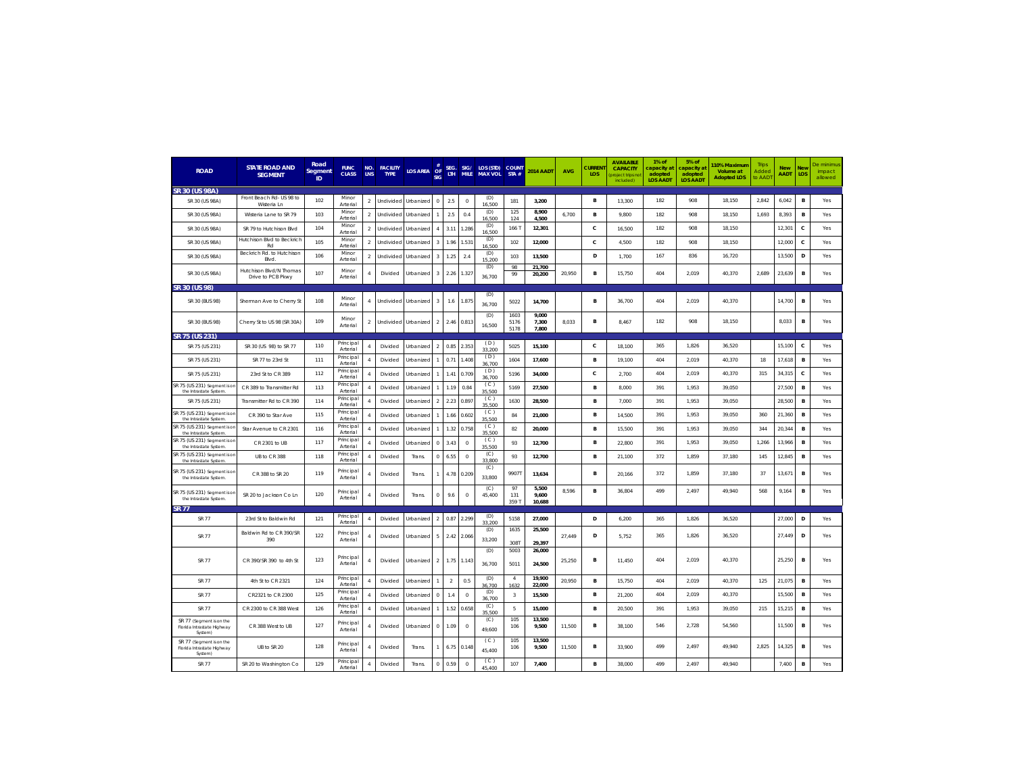| <b>ROAD</b>                                                       | <b>STATE ROAD AND</b><br><b>SEGMENT</b>      | Road<br>Segment<br>ID | <b>FUNC</b><br><b>CLASS</b> | LNS            | NO. FACILITY<br><b>TYPE</b> | LOS AREA OF | <b>SIG</b>              | LTH            |         | SEG. SIG/ LOS (STD) COUNT<br>MILE MAX VOL | STA#                    | <b>2014 AADT</b>         | <b>AVG</b> | <b>CURREN</b><br>LOS | <b>AVAILABLE</b><br><b>CAPACITY</b><br>project trips no<br>included) | 1% of<br>apacity at<br>adopted<br><b>LOS AADT</b> | 5% of<br>capacity a<br>adopted<br><b>LOS AADI</b> | 10% Maximum<br>Volume at<br><b>Adopted LOS</b> | Trips<br>Addec<br>lo AAD | <b>New</b><br><b>AADT</b> | Nev<br>LOS  | De minimus<br>impact<br>allowed |
|-------------------------------------------------------------------|----------------------------------------------|-----------------------|-----------------------------|----------------|-----------------------------|-------------|-------------------------|----------------|---------|-------------------------------------------|-------------------------|--------------------------|------------|----------------------|----------------------------------------------------------------------|---------------------------------------------------|---------------------------------------------------|------------------------------------------------|--------------------------|---------------------------|-------------|---------------------------------|
| SR 30 (US 98A)                                                    |                                              |                       |                             |                |                             |             |                         |                |         |                                           |                         |                          |            |                      |                                                                      |                                                   |                                                   |                                                |                          |                           |             |                                 |
| SR 30 (US 98A)                                                    | Front Beach Rd- US 98 to<br>Wisteria Ln      | 102                   | Minor<br>Arterial           | $\overline{2}$ | Undivided                   | Urbanized   | $\circ$                 | 2.5            | $\circ$ | (D)<br>16,500                             | 181                     | 3,200                    |            | $\mathbf{B}$         | 13,300                                                               | 182                                               | 908                                               | 18,150                                         | 2.842                    | 6,042                     | в           | Yes                             |
| SR 30 (US 98A)                                                    | Wisteria Lane to SR 79                       | 103                   | Minor<br>Arterial           | $\overline{2}$ | Undivided                   | Urbanized   |                         | 2.5            | 0.4     | (D)<br>16.500                             | 125<br>124              | 8,900<br>4,500           | 6,700      | B.                   | 9,800                                                                | 182                                               | 908                                               | 18,150                                         | 1,693                    | 8,393                     | в           | Yes                             |
| SR 30 (US 98A)                                                    | SR 79 to Hutchison Blvd                      | 104                   | Minor<br>Arterial           | $\overline{2}$ | Undivided                   | Urbanized   | 4                       | 3.11           | 1.286   | (D)<br>16,500                             | 166 T                   | 12,301                   |            | c                    | 16,500                                                               | 182                                               | 908                                               | 18,150                                         |                          | 12,301                    | c           | Yes                             |
| SR 30 (US 98A)                                                    | Hutchison Blvd to Beckrich<br>Rd             | 105                   | Minor<br>Arterial           | $\mathcal{D}$  | Undivided                   | Urbanized   | 3                       | 1.96           | .531    | (D)<br>16,500                             | 102                     | 12,000                   |            | $\mathsf{C}$         | 4,500                                                                | 182                                               | 908                                               | 18,150                                         |                          | 12,000                    | $\mathbf c$ | Yes                             |
| SR 30 (US 98A)                                                    | Beckrich Rd. to Hutchison<br><b>Blvd</b>     | 106                   | Minor<br>Arterial           | $\overline{2}$ | Undivided                   | Urbanized   | $\mathbf{3}$            | 1.25           | 2.4     | (D)<br>15,200                             | 103                     | 13,500                   |            | D                    | 1.700                                                                | 167                                               | 836                                               | 16,720                                         |                          | 13,500                    | D           | Yes                             |
| SR 30 (US 98A)                                                    | Hutchison Blvd/N Thomas<br>Drive to PCB Pkwy | 107                   | Minor<br>Arterial           | 4              | Divided                     | Urbanized   | $\overline{\mathbf{3}}$ | 2.26           | 1.327   | (D)<br>36,700                             | 98<br>99                | 21,700<br>20,200         | 20.950     | B                    | 15.750                                                               | 404                                               | 2.019                                             | 40,370                                         | 2.689                    | 23,639                    | в           | Yes                             |
| SR 30 (US 98)                                                     |                                              |                       |                             |                |                             |             |                         |                |         |                                           |                         |                          |            |                      |                                                                      |                                                   |                                                   |                                                |                          |                           |             |                                 |
| SR 30 (BUS 98)                                                    | Sherman Ave to Cherry St                     | 108                   | Minor<br>Arterial           | 4              | Undivided                   | Urbanized   | 3                       | 1.6            | 1.875   | (D)<br>36,700                             | 5022                    | 14,700                   |            | В                    | 36,700                                                               | 404                                               | 2.019                                             | 40,370                                         |                          | 14,700                    | в           | Yes                             |
| SR 30 (BUS 98)                                                    | Cherry St to US 98 (SR 30A)                  | 109                   | Minor<br>Arterial           | $\overline{a}$ | Undivided                   | Urbanized   | $\overline{2}$          | 2.46           | 0.813   | (D)<br>16,500                             | 1603<br>5176<br>5178    | 9,000<br>7,300<br>7,800  | 8,033      | B                    | 8,467                                                                | 182                                               | 908                                               | 18.150                                         |                          | 8,033                     | в           | Yes                             |
| SR 75 (US 231)                                                    |                                              |                       |                             |                |                             |             |                         |                |         |                                           |                         |                          |            |                      |                                                                      |                                                   |                                                   |                                                |                          |                           |             |                                 |
| SR 75 (US 231)                                                    | SR 30 (US 98) to SR 77                       | 110                   | Principal<br>Arterial       |                | Divided                     | Urbanized   | $\overline{2}$          | 0.85           | 2.353   | (D)<br>33,200                             | 5025                    | 15,100                   |            | c                    | 18.100                                                               | 365                                               | 1,826                                             | 36,520                                         |                          | 15,100                    | $\mathbf c$ | Yes                             |
| SR 75 (US 231)                                                    | SR 77 to 23rd St                             | 111                   | Principal<br>Arterial       |                | Divided                     | Urbanized   |                         | 0.71           | 1.408   | (D)<br>36,700                             | 1604                    | 17,600                   |            | В                    | 19,100                                                               | 404                                               | 2,019                                             | 40,370                                         | 18                       | 17,618                    | в           | Yes                             |
| SR 75 (US 231)                                                    | 23rd St to CR 389                            | 112                   | Principal<br>Arterial       |                | Divided                     | Urbanized   |                         | 1.41           | 0.709   | (D)<br>36,700                             | 5196                    | 34,000                   |            | c                    | 2,700                                                                | 404                                               | 2,019                                             | 40,370                                         | 315                      | 34,315                    | c           | Yes                             |
| SR 75 (US 231) Segment is or<br>the Intrastate System.            | CR 389 to Transmitter Rd                     | 113                   | Principal<br>Arterial       |                | Divided                     | Urbanized   |                         | 1.19           | 0.84    | (C)<br>35,500                             | 5169                    | 27,500                   |            | R.                   | 8,000                                                                | 391                                               | 1,953                                             | 39,050                                         |                          | 27,500                    | в           | Yes                             |
| SR 75 (US 231)                                                    | Transmitter Rd to CR 390                     | 114                   | Principal<br>Arterial       |                | Divided                     | Urbanizec   | $\overline{2}$          | 2.23           | 0.897   | (C)<br>35.500                             | 1630                    | 28,500                   |            | B                    | 7,000                                                                | 391                                               | 1,953                                             | 39,050                                         |                          | 28,500                    | в           | Yes                             |
| SR 75 (US 231) Segment is or<br>the Intrastate System.            | CR 390 to Star Ave                           | 115                   | Principal<br>Arterial       |                | Divided                     | Urbanized   |                         | 1.66           | 0.602   | (C)<br>35,500                             | 84                      | 21,000                   |            | B.                   | 14,500                                                               | 391                                               | 1,953                                             | 39,050                                         | 360                      | 21,360                    | в           | Yes                             |
| SR 75 (US 231) Segment is or<br>the Intrastate System             | Star Avenue to CR 2301                       | 116                   | Principal<br>Arterial       |                | Divided                     | Urbanized   |                         | 1.32           | 0.758   | (C)<br>35,500                             | 82                      | 20,000                   |            | B.                   | 15,500                                                               | 391                                               | 1,953                                             | 39,050                                         | 344                      | 20,344                    | в           | Yes                             |
| SR 75 (US 231) Segment is or<br>the Intrastate System             | CR 2301 to UB                                | 117                   | Principal<br>Arterial       |                | Divided                     | Urbanizec   | $\overline{0}$          | 3.43           | $\circ$ | (C)<br>35.500                             | 93                      | 12,700                   |            | B                    | 22,800                                                               | 391                                               | 1,953                                             | 39,050                                         | 1.266                    | 13,966                    | в           | <b>Yes</b>                      |
| SR 75 (US 231) Segment is on<br>the Intrastate System.            | UB to CR 388                                 | 118                   | Principal<br>Arterial       |                | Divided                     | Trans.      | $\mathbf 0$             | 6.55           | $\circ$ | (C)<br>33,800                             | 93                      | 12,700                   |            | R.                   | 21,100                                                               | 372                                               | 1,859                                             | 37,180                                         | 145                      | 12,845                    | в           | Yes                             |
| SR 75 (US 231) Segment is on<br>the Intrastate System.            | CR 388 to SR 20                              | 119                   | Principal<br>Arterial       |                | Divided                     | Trans       |                         | 4.78           | 0.209   | (C)<br>33,800                             | 99071                   | 13,634                   |            | B                    | 20,166                                                               | 372                                               | 1.859                                             | 37.180                                         | 37                       | 13,671                    | в           | Yes                             |
| SR 75 (US 231) Segment is on<br>the Intrastate System             | SR 20 to Jackson Co Ln                       | 120                   | Principal<br>Arterial       |                | Divided                     | Trans       | $\,0\,$                 | 9.6            | $\circ$ | (C)<br>45,400                             | 97<br>131<br>359 T      | 5,500<br>9,600<br>10,688 | 8,596      | B.                   | 36,804                                                               | 499                                               | 2,497                                             | 49,940                                         | 568                      | 9,164                     | в           | Yes                             |
| <b>SR 77</b>                                                      |                                              |                       |                             |                |                             |             |                         |                |         |                                           |                         |                          |            |                      |                                                                      |                                                   |                                                   |                                                |                          |                           |             |                                 |
| SR 77                                                             | 23rd St to Baldwin Rd                        | 121                   | Principal<br>Arterial       |                | Divided                     | Urbanized   | $\overline{2}$          | 0.87           | 2.299   | (D)<br>33,200                             | 5158                    | 27,000                   |            | D                    | 6,200                                                                | 365                                               | 1,826                                             | 36,520                                         |                          | 27,000                    | D           | Yes                             |
| SR 77                                                             | Baldwin Rd to CR 390/SR<br>390               | 122                   | Principal<br>Arterial       |                | Divided                     | Urbanized   | -5                      | 2.42           | 2.066   | (D)<br>33,200                             | 1635<br>3081            | 25,500<br>29,397         | 27,449     | D                    | 5,752                                                                | 365                                               | 1,826                                             | 36,520                                         |                          | 27,449                    | D           | Yes                             |
|                                                                   |                                              |                       | Principal                   |                |                             |             |                         |                |         | (D)                                       | 5003                    | 26,000                   |            |                      |                                                                      |                                                   |                                                   |                                                |                          |                           |             |                                 |
| SR 77                                                             | CR 390/SR 390 to 4th St                      | 123                   | Arterial                    |                | Divided                     | Urbanized   | $\overline{2}$          | 1.75           | .143    | 36,700                                    | 5011                    | 24,500                   | 25,250     | В                    | 11,450                                                               | 404                                               | 2,019                                             | 40,370                                         |                          | 25,250                    | в           | Yes                             |
| SR 77                                                             | 4th St to CR 2321                            | 124                   | Principal<br>Arterial       |                | Divided                     | Urbanized   |                         | $\overline{2}$ | 0.5     | (D)<br>36,700                             | $\frac{4}{3}$<br>1632   | 19,900<br>22,000         | 20,950     | B.                   | 15,750                                                               | 404                                               | 2.019                                             | 40,370                                         | 125                      | 21,075                    | в           | Yes                             |
| SR 77                                                             | CR2321 to CR 2300                            | 125                   | Principal<br>Arterial       |                | Divided                     | Urbanized   | 0                       | 1.4            | $\circ$ | (D)<br>36,700                             | $\overline{\mathbf{3}}$ | 15,500                   |            | в                    | 21,200                                                               | 404                                               | 2,019                                             | 40,370                                         |                          | 15,500                    | в           | Yes                             |
| SR 77                                                             | CR 2300 to CR 388 West                       | 126                   | Principal<br>Arterial       |                | Divided                     | Urbanized   |                         | 1.52           | 0.658   | (C)<br>35,500                             | 5                       | 15,000                   |            | В                    | 20,500                                                               | 391                                               | 1,953                                             | 39,050                                         | 215                      | 15,215                    | в           | Yes                             |
| SR 77 (Segment is on the<br>Florida Intrastate Highway<br>System) | CR 388 West to UB                            | 127                   | Principal<br>Arterial       |                | Divided                     | Urbanized   | $\overline{0}$          | 1.09           | $\circ$ | (C)<br>49,600                             | 105<br>106              | 13,500<br>9,500          | 11.500     | В                    | 38.100                                                               | 546                                               | 2,728                                             | 54,560                                         |                          | 11,500                    | в           | Yes                             |
| SR 77 (Segment is on the<br>Florida Intrastate Highway<br>System) | UB to SR 20                                  | 128                   | Principal<br>Arterial       |                | Divided                     | Trans       |                         | 6.75           | 0.148   | (C)<br>45,400                             | 105<br>106              | 13,500<br>9,500          | 11.500     | В                    | 33.900                                                               | 499                                               | 2.497                                             | 49.940                                         | 2.825                    | 14,325                    | в           | Yes                             |
| SR 77                                                             | SR 20 to Washington Co                       | 129                   | Principal<br>Arterial       |                | Divided                     | Trans.      | $\,0\,$                 | 0.59           | $\circ$ | (C)<br>45,400                             | 107                     | 7,400                    |            | В                    | 38,000                                                               | 499                                               | 2.497                                             | 49.940                                         |                          | 7,400                     | в           | Yes                             |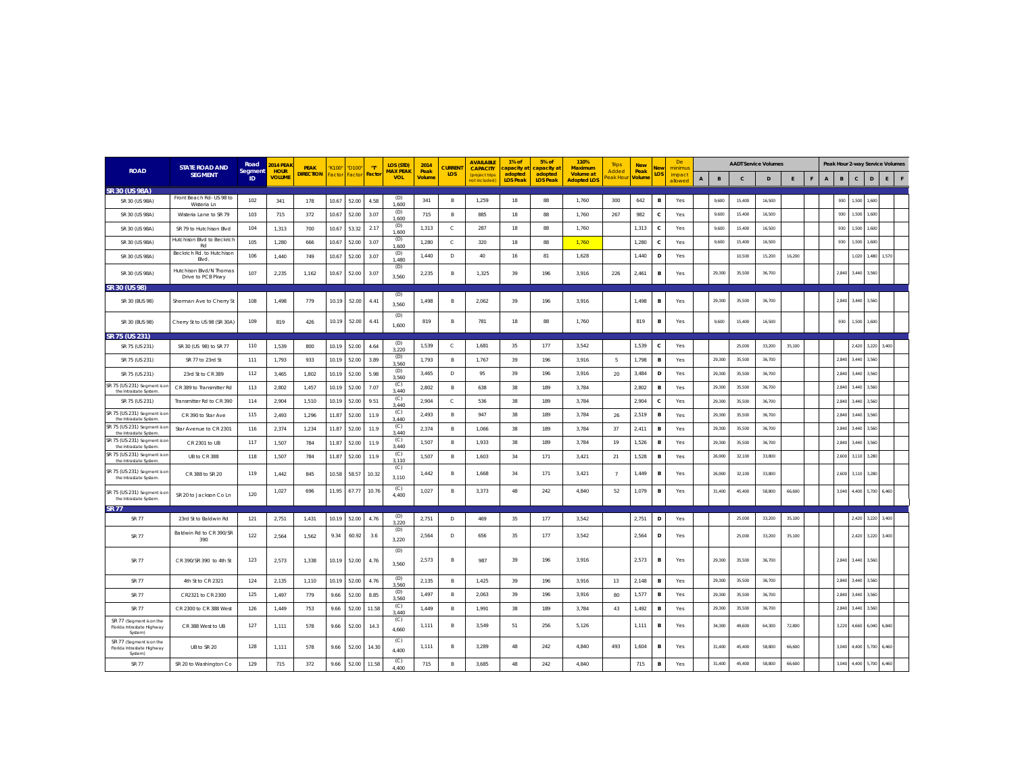|                                                                   | <b>STATE ROAD AND</b>                        | Road          | 014 PFA                      | PFAK             | K100   | "D <sub>100</sub> | <b>TT</b>            | <b>LOS (STD)</b>              | 2014           | <b>CURRENT</b> | <b>AVAILABLE</b><br><b>CAPACITY</b> | 1% of<br>apacity a         | 5% of<br>capacity a        | 110%<br>Maximum                 | Trip:             | <b>New</b>     | lev            | De<br>minimi            |                |                | <b>AADT Service Volumes</b> |             |        |   |             |       |                         |                   | Peak Hour 2-way Service Volumes |
|-------------------------------------------------------------------|----------------------------------------------|---------------|------------------------------|------------------|--------|-------------------|----------------------|-------------------------------|----------------|----------------|-------------------------------------|----------------------------|----------------------------|---------------------------------|-------------------|----------------|----------------|-------------------------|----------------|----------------|-----------------------------|-------------|--------|---|-------------|-------|-------------------------|-------------------|---------------------------------|
| <b>ROAD</b>                                                       | <b>SEGMENT</b>                               | Segment<br>ID | <b>HOUR</b><br><b>VOLUME</b> | <b>DIRECTION</b> | Factor |                   | <b>Factor</b> Factor | <b>MAX PEAK</b><br><b>VOL</b> | Peak<br>Volume | LOS            | (project trip<br>not included       | adopted<br><b>LOS Peak</b> | adopted<br><b>LOS Peak</b> | Volume at<br><b>Adopted LOS</b> | Added<br>eak Hour | Peak<br>Volume | .OS            | <i>impac</i><br>allowed | $\overline{A}$ | $\overline{B}$ | $\mathbf c$                 | $\mathsf D$ | E      | F | $\mathsf A$ | B     | $\mathbf c$             | $\mathsf D$       | F<br>E                          |
| SR 30 (US 98A)                                                    |                                              |               |                              |                  |        |                   |                      |                               |                |                |                                     |                            |                            |                                 |                   |                |                |                         |                |                |                             |             |        |   |             |       |                         |                   |                                 |
| SR 30 (US 98A)                                                    | Front Beach Rd- US 98 to<br>Wisteria Ln      | 102           | 341                          | 178              | 10.67  | 52.00             | 4.58                 | (D)<br>1.600                  | 341            | $\overline{B}$ | 1,259                               | 18                         | 88                         | 1,760                           | 300               | 642            | B <sub>1</sub> | Yes                     |                | 004.9          | 15.400                      | 16.500      |        |   |             | 930   | 1500                    | 1,600             |                                 |
| SR 30 (US 98A)                                                    | Wisteria Lane to SR 79                       | 103           | 715                          | 372              | 10.67  | 52.00             | 3.07                 | (D)<br>1.600                  | 715            | $\mathbf{R}$   | 885                                 | 18                         | 88                         | 1,760                           | 267               | 982            | с              | Yes                     |                | 9.600          | 15.400                      | 16,500      |        |   |             | 930   | 1,500                   | 1,600             |                                 |
| SR 30 (US 98A)                                                    | SR 79 to Hutchison Blvd                      | 104           | 1,313                        | 700              | 10.67  | 53.32             | 2.17                 | (D)<br>1.600                  | 1,313          | $\mathcal{C}$  | 287                                 | 18                         | 88                         | 1,760                           |                   | 1,313          | $\mathbf{C}$   | Yes                     |                | 9.600          | 15,400                      | 16,500      |        |   |             | 930   | 1500                    | 1.600             |                                 |
| SR 30 (US 98A)                                                    | Hutchison Blvd to Beckrich<br>Rd             | 105           | 1.280                        | 666              | 10.67  | 52.00             | 3.07                 | (D)<br>1.600                  | 1,280          | $\mathbb{C}$   | 320                                 | 18                         | 88                         | 1,760                           |                   | 1,280          | с              | Yes                     |                | 9.600          | 15,400                      | 16,500      |        |   |             | 930   | 1500                    | 1.600             |                                 |
| SR 30 (US 98A)                                                    | Beckrich Rd. to Hutchison<br>Blvd.           | 106           | 1,440                        | 749              | 10.67  | 52.00             | 3.07                 | (D)<br>1.480                  | 1.440          | $\Box$         | 40                                  | 16                         | 81                         | 1,628                           |                   | 1,440          | D              | Yes                     |                |                | 10.500                      | 15,200      | 16,200 |   |             |       | 1.020                   | 1.480             | 1.570                           |
| SR 30 (US 98A)                                                    | Hutchison Blvd/N Thomas<br>Drive to PCB Pkwy | 107           | 2,235                        | 1,162            | 10.67  | 52.00             | 3.07                 | (D)<br>3,560                  | 2,235          | B              | 1,325                               | 39                         | 196                        | 3,916                           | 226               | 2,461          | $\mathbf{B}$   | Yes                     |                | 29.300         | 35.500                      | 36,700      |        |   |             |       | 2.840 3.440             | 3.560             |                                 |
| SR 30 (US 98)                                                     |                                              |               |                              |                  |        |                   |                      |                               |                |                |                                     |                            |                            |                                 |                   |                |                |                         |                |                |                             |             |        |   |             |       |                         |                   |                                 |
| SR 30 (BUS 98)                                                    | Sherman Ave to Cherry St                     | 108           | 1.498                        | 779              | 10.19  | 52.00             | 4.41                 | (D)<br>3,560                  | 1,498          | B              | 2,062                               | 39                         | 196                        | 3,916                           |                   | 1,498          | <b>B</b>       | Yes                     |                | 29.300         | 35.500                      | 36.700      |        |   |             | 2.840 | 3.440                   | 3.560             |                                 |
| SR 30 (BUS 98)                                                    | Cherry St to US 98 (SR 30A)                  | 109           | 819                          | 426              | 10.19  | 52.00             | 4.41                 | (D)<br>1,600                  | 819            | B              | 781                                 | 18                         | 88                         | 1,760                           |                   | 819            | B              | Yes                     |                | 9,600          | 15,400                      | 16,500      |        |   |             | 930   | 1,500                   | 1,600             |                                 |
| SR 75 (US 231)                                                    |                                              |               |                              |                  |        |                   |                      |                               |                |                |                                     |                            |                            |                                 |                   |                |                |                         |                |                |                             |             |        |   |             |       |                         |                   |                                 |
| SR 75 (US 231)                                                    | SR 30 (US 98) to SR 77                       | 110           | 1,539                        | 800              | 10.19  | 52.00             | 4.64                 | (D)<br>3.220                  | 1.539          | $\mathbb{C}$   | 1,681                               | 35                         | 177                        | 3,542                           |                   | 1,539          | с              | Yes                     |                |                | 25.000                      | 33,200      | 35,100 |   |             |       | 2.420                   | 3,220 3,400       |                                 |
| SR 75 (US 231)                                                    | SR 77 to 23rd St                             | 111           | 1.793                        | 933              | 10.19  | 52.00             | 3.89                 | (D)<br>3.560                  | 1,793          | B              | 1,767                               | 39                         | 196                        | 3,916                           | -5                | 1,798          | B              | Yes                     |                | 29,300         | 35,500                      | 36,700      |        |   |             | 2,840 | 3,440                   | 3,560             |                                 |
| SR 75 (US 231)                                                    | 23rd St to CR 389                            | 112           | 3,465                        | 1,802            | 10.19  | 52.00             | 5.98                 | (D)<br>3.560                  | 3,465          | $\Box$         | 95                                  | 39                         | 196                        | 3,916                           | 20                | 3,484          | D              | Yes                     |                | 29,300         | 35,500                      | 36,700      |        |   |             | 2,840 | 3,440                   | 3,560             |                                 |
| SR 75 (US 231) Segment is or<br>the Intrastate System             | CR 389 to Transmitter Rd                     | 113           | 2,802                        | 1,457            | 10.19  | 52.00             | 7.07                 | (C)<br>3 4 4 0                | 2,802          | B              | 638                                 | 38                         | 189                        | 3,784                           |                   | 2,802          | B              | Yes                     |                | 29.300         | 35,500                      | 36,700      |        |   |             | 2.840 | 3.440                   | 3.560             |                                 |
| SR 75 (US 231)                                                    | Transmitter Rd to CR 390                     | 114           | 2.904                        | 1.510            | 10.19  | 52.00             | 9.51                 | (C)<br>3.440                  | 2,904          | $\mathsf{C}$   | 536                                 | 38                         | 189                        | 3,784                           |                   | 2,904          | c              | Yes                     |                | 29,300         | 35,500                      | 36,700      |        |   |             | 2,840 | 3,440                   | 3,560             |                                 |
| SR 75 (US 231) Segment is o<br>the Intrastate System              | CR 390 to Star Ave                           | 115           | 2,493                        | 1,296            | 11.87  | 52.00             | 11.9                 | (C)<br>3.440                  | 2,493          | $\mathsf{R}$   | 947                                 | 38                         | 189                        | 3,784                           | 26                | 2,519          | B <sub>1</sub> | Yes                     |                | 29,300         | 35,500                      | 36,700      |        |   |             | 2,840 | 3,440                   | 3,560             |                                 |
| SR 75 (US 231) Segment is or<br>the Intrastate System             | Star Avenue to CR 2301                       | 116           | 2,374                        | 1,234            | 11.87  | 52.00             | 11.9                 | (C)<br>3 440                  | 2,374          | B              | 1,066                               | 38                         | 189                        | 3,784                           | 37                | 2,411          | B <sub>1</sub> | Yes                     |                | 29,300         | 35,500                      | 36,700      |        |   |             | 2,840 | 3,440                   | 3,560             |                                 |
| SR 75 (US 231) Segment is o<br>the Intrastate System              | CR 2301 to UB                                | 117           | 1.507                        | 784              | 11.87  | 52.00             | 11.9                 | (C)<br>3 4 4 0                | 1,507          | B              | 1,933                               | 38                         | 189                        | 3,784                           | 19                | 1,526          | B              | Yes                     |                | 29,300         | 35,500                      | 36,700      |        |   |             | 2,840 | 3,440                   | 3,560             |                                 |
| SR 75 (US 231) Segment is or<br>the Intrastate System             | UB to CR 388                                 | 118           | 1,507                        | 784              | 11.87  | 52.00             | 11 <b>9</b>          | (C)<br>3 1 1 0                | 1,507          | $\mathbf{B}$   | 1,603                               | 34                         | 171                        | 3,421                           | 21                | 1,528          | B <sub>1</sub> | Yes                     |                | 26,900         | 32.100                      | 33,800      |        |   |             | 2,600 | 3,110                   | 3,280             |                                 |
| SR 75 (US 231) Segment is on<br>the Intrastate System.            | CR 388 to SR 20                              | 119           | 1.442                        | 845              | 10.58  | 58.57             | 10.32                | (C)<br>3.110                  | 1,442          | $\mathbf{R}$   | 1,668                               | 34                         | 171                        | 3,421                           | $\overline{7}$    | 1,449          | $\mathbf{B}$   | Yes                     |                | 26,900         | 32.100                      | 33,800      |        |   |             | 2,600 | 3,110                   | 3,280             |                                 |
| SR 75 (US 231) Segment is on<br>the Intrastate System             | SR 20 to Jackson Co Ln                       | 120           | 1,027                        | 696              | 11.95  | 67.77             | 10.76                | (C)<br>4,400                  | 1,027          | B              | 3,373                               | 48                         | 242                        | 4,840                           | 52                | 1,079          | B              | Yes                     |                | 31,400         | 45,400                      | 58,800      | 66,600 |   |             |       | 3,040 4,400 5,700 6,460 |                   |                                 |
| <b>SR 77</b>                                                      |                                              |               |                              |                  |        |                   |                      |                               |                |                |                                     |                            |                            |                                 |                   |                |                |                         |                |                |                             |             |        |   |             |       |                         |                   |                                 |
| SR 77                                                             | 23rd St to Baldwin Rd                        | 121           | 2,751                        | 1,431            | 10.19  | 52.00             | 4.76                 | 3.220                         | 2,751          | $\mathsf D$    | 469                                 | 35                         | 177                        | 3,542                           |                   | 2,751          | D              | Yes                     |                |                | 25,000                      | 33,200      | 35,100 |   |             |       |                         | 2,420 3,220 3,400 |                                 |
| SR 77                                                             | Baldwin Rd to CR 390/SR<br>390               | 122           | 2,564                        | 1,562            | 9.34   | 60.92             | 3.6                  | (D)<br>3,220                  | 2.564          | $\Gamma$       | 656                                 | 35                         | 177                        | 3.542                           |                   | 2.564          | D.             | Yes                     |                |                | 25.000                      | 33,200      | 35,100 |   |             |       | 2,420                   | 3,220 3,400       |                                 |
| SR 77                                                             | CR 390/SR 390 to 4th St                      | 123           | 2,573                        | 1,338            | 10.19  | 52.00             | 4.76                 | (D)<br>3.560                  | 2,573          | $\mathbf{R}$   | 987                                 | 39                         | 196                        | 3,916                           |                   | 2,573          | $\mathbf{B}$   | Yes                     |                | 29,300         | 35.500                      | 36.700      |        |   |             |       | 2,840 3,440 3,560       |                   |                                 |
| SR 77                                                             | 4th St to CR 2321                            | 124           | 2,135                        | 1,110            | 10.19  | 52.00             | 4.76                 | (D)<br>3.560                  | 2,135          | $\overline{B}$ | 1,425                               | 39                         | 196                        | 3,916                           | 13                | 2,148          | B <sub>1</sub> | Yes                     |                | 29.300         | 35.500                      | 36,700      |        |   |             |       | 2,840 3,440             | 3.560             |                                 |
| SR 77                                                             | CR2321 to CR 2300                            | 125           | 1,497                        | 779              | 9.66   | 52.00             | 8.85                 | (D)<br>3.560                  | 1,497          | $\overline{B}$ | 2.063                               | 39                         | 196                        | 3,916                           | 80                | 1,577          | $\mathbf{B}$   | Yes                     |                | 29.300         | 35.500                      | 36.700      |        |   |             | 2,840 | 3,440 3,560             |                   |                                 |
| SR 77                                                             | CR 2300 to CR 388 West                       | 126           | 1,449                        | 753              | 9.66   | 52.00             | 11.58                | (C)<br>3,440                  | 1,449          | B              | 1,991                               | 38                         | 189                        | 3,784                           | 43                | 1,492          | $\mathbf{B}$   | Yes                     |                | 29.300         | 35,500                      | 36,700      |        |   |             | 2.840 | 3.440 3.560             |                   |                                 |
| SR 77 (Segment is on the<br>Florida Intrastate Highway<br>System) | CR 388 West to UB                            | 127           | 1,111                        | 578              | 9.66   | 52.00             | 14.3                 | (C)<br>4,660                  | 1.111          | $\mathbf{R}$   | 3.549                               | 51                         | 256                        | 5,126                           |                   | 1 1 1 1        | $\mathbf{B}$   | Yes                     |                | 34.300         | 49,600                      | 64.300      | 72,800 |   |             | 3,220 | 4.660                   | $6,040$ $6,840$   |                                 |
| SR 77 (Segment is on the<br>Florida Intrastate Highway<br>System) | UB to SR 20                                  | 128           | 1.111                        | 578              | 9.66   | 52.00             | 14.30                | (C)<br>4,400                  | 1.111          | $\mathbf{R}$   | 3,289                               | 48                         | 242                        | 4.840                           | 493               | 1,604          | R              | Yes                     |                | 31,400         | 45,400                      | 58,800      | 66,600 |   |             | 3.040 | 4.400                   | 5.700 6.460       |                                 |
| SR 77                                                             | SR 20 to Washington Co                       | 129           | 715                          | 372              | 9.66   | 52.00             | 11.58                | (C)<br>4 400                  | 715            | B              | 3,685                               | 48                         | 242                        | 4,840                           |                   | 715            | B              | Yes                     |                | 31.400         | 45.400                      | 58,800      | 66,600 |   |             |       | 3,040 4,400 5,700 6,460 |                   |                                 |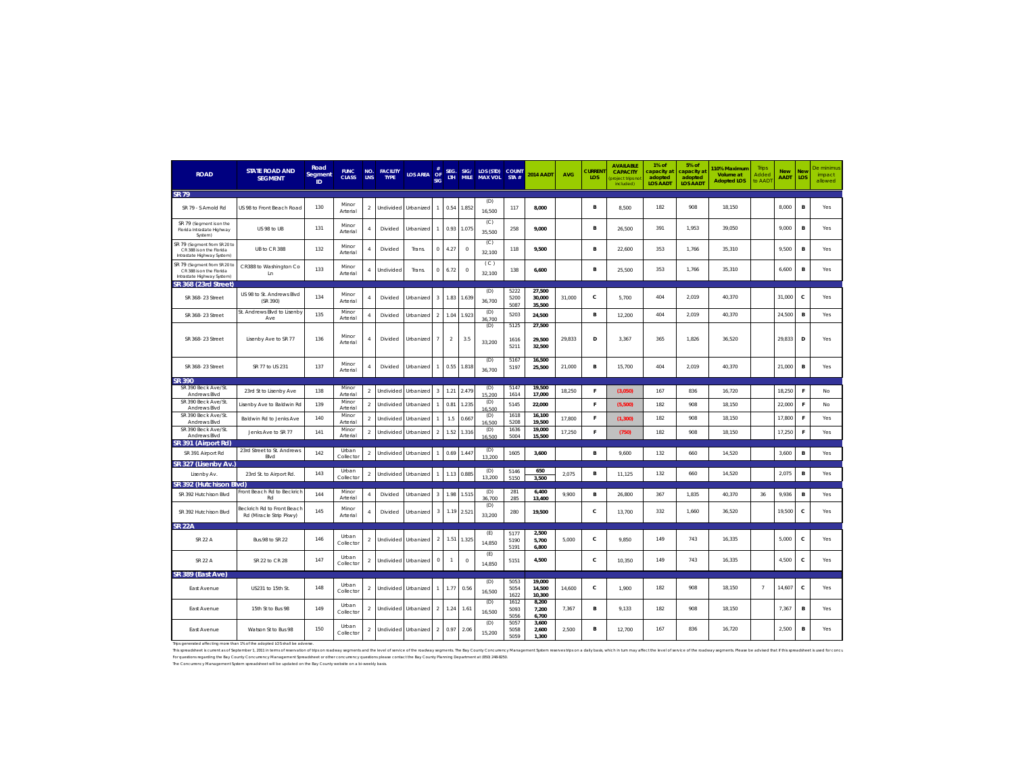| <b>ROAD</b>                                                                            | <b>STATE ROAD AND</b><br><b>SEGMENT</b>                                     | Road<br>Segment<br>ID | <b>FUNC</b><br><b>CLASS</b> | NO.<br><b>LNS</b> | <b>FACILITY</b><br><b>TYPE</b> | <b>LOS AREA</b> | OF<br><b>SIG</b> | SEG.<br>LTH    |            | SIG/ LOS (STD)<br>MILE MAX VOL | <b>COUNT</b><br>STA# | 2014 AADT                  | <b>AVG</b> | <b>CURREN</b><br>LOS | <b>AVAILABLE</b><br><b>CAPACITY</b><br>project trips no<br>included) | $1\%$ of<br>capacity at<br>adopted<br><b>LOS AADT</b> | 5% of<br>capacity at<br>adopted<br><b>LOS AADI</b> | 10% Maximum<br>Volume at<br><b>Adopted LOS</b> | Trips<br>Addec<br>to AAD1 | <b>New</b><br>AADT | <b>New</b><br>LOS | e minimu<br>impact<br>allowed |
|----------------------------------------------------------------------------------------|-----------------------------------------------------------------------------|-----------------------|-----------------------------|-------------------|--------------------------------|-----------------|------------------|----------------|------------|--------------------------------|----------------------|----------------------------|------------|----------------------|----------------------------------------------------------------------|-------------------------------------------------------|----------------------------------------------------|------------------------------------------------|---------------------------|--------------------|-------------------|-------------------------------|
| <b>SR 79</b>                                                                           |                                                                             |                       |                             |                   |                                |                 |                  |                |            |                                |                      |                            |            |                      |                                                                      |                                                       |                                                    |                                                |                           |                    |                   |                               |
| SR 79 - S Arnold Rd                                                                    | US 98 to Front Beach Road                                                   | 130                   | Minor<br>Arterial           | $\overline{a}$    | Undivided                      | Urbanized       |                  | 0.54           | 1.852      | (D)<br>16.500                  | 117                  | 8,000                      |            | B                    | 8,500                                                                | 182                                                   | 908                                                | 18,150                                         |                           | 8,000              | B                 | Yes                           |
| SR 79 (Segment is on the<br>Florida Intrastate Highway<br>System)                      | US 98 to UB                                                                 | 131                   | Minor<br>Arterial           |                   | Divided                        | Urbanized       | $\mathbf{1}$     |                | 0.93 1.075 | (C)<br>35,500                  | 258                  | 9,000                      |            | в                    | 26,500                                                               | 391                                                   | 1,953                                              | 39,050                                         |                           | 9,000              | B                 | Yes                           |
| SR 79 (Segment from SR 20 to<br>CR 388 is on the Florida<br>Intrastate Highway System) | UB to CR 388                                                                | 132                   | Minor<br>Arterial           | 4                 | Divided                        | Trans.          | $\circ$          | 4.27           | $\circ$    | (C)<br>32,100                  | 118                  | 9.500                      |            | в                    | 22,600                                                               | 353                                                   | 1,766                                              | 35,310                                         |                           | 9,500              | B                 | Yes                           |
| SR 79 (Segment from SR 20 to<br>CR 388 is on the Florida<br>Intrastate Highway System) | CR388 to Washington Co<br>Ln                                                | 133                   | Minor<br>Arterial           | 4                 | Undivided                      | Trans.          | $\circ$          | 6.72           | $\circ$    | (C)<br>32,100                  | 138                  | 6,600                      |            | B                    | 25,500                                                               | 353                                                   | 1,766                                              | 35,310                                         |                           | 6,600              | B                 | Yes                           |
| SR 368 (23rd Street)                                                                   |                                                                             |                       |                             |                   |                                |                 |                  |                |            |                                |                      |                            |            |                      |                                                                      |                                                       |                                                    |                                                |                           |                    |                   |                               |
| SR 368-23 Street                                                                       | US 98 to St. Andrews Blvd<br>(SR 390)                                       | 134                   | Minor<br>Arterial           |                   | Divided                        | Urbanized       | $\mathbf{3}$     | 1.83           | 1.639      | (D)<br>36,700                  | 5222<br>5200<br>5087 | 27,500<br>30,000<br>35,500 | 31,000     | с                    | 5,700                                                                | 404                                                   | 2,019                                              | 40,370                                         |                           | 31,000             | c                 | Yes                           |
| SR 368-23 Street                                                                       | St. Andrews Blvd to Lisenby<br>Ave                                          | 135                   | Minor<br>Arterial           | 4                 | Divided                        | Urbanized       | $\overline{2}$   | 1.04           | 1.923      | (D)<br>36.700                  | 5203                 | 24,500                     |            | в                    | 12,200                                                               | 404                                                   | 2,019                                              | 40,370                                         |                           | 24,500             | B                 | Yes                           |
|                                                                                        |                                                                             |                       |                             |                   |                                |                 |                  |                |            | (D)                            | 5125                 | 27,500                     |            |                      |                                                                      |                                                       |                                                    |                                                |                           |                    |                   |                               |
| SR 368-23 Street                                                                       | Lisenby Ave to SR 77                                                        | 136                   | Minor<br>Arterial           | 4                 | Divided                        | Urbanized       | 7                | $\overline{2}$ | 3.5        | 33,200                         | 1616<br>5211         | 29,500<br>32,500           | 29,833     | D                    | 3,367                                                                | 365                                                   | 1.826                                              | 36.520                                         |                           | 29,833             | D                 | Yes                           |
| SR 368-23 Street                                                                       | SR 77 to US 231                                                             | 137                   | Minor<br>Arterial           | 4                 | Divided                        | Urbanized       |                  | $0.55 -$       | 1.818      | (D)<br>36,700                  | 5167<br>5197         | 16.500<br>25,500           | 21,000     | B                    | 15,700                                                               | 404                                                   | 2.019                                              | 40,370                                         |                           | 21,000             | B                 | Yes                           |
| SR 390                                                                                 |                                                                             |                       |                             |                   |                                |                 |                  |                |            |                                |                      |                            |            |                      |                                                                      |                                                       |                                                    |                                                |                           |                    |                   |                               |
| SR 390 Beck Ave/St.<br>Andrews Blvd                                                    | 23rd St to Lisenby Ave                                                      | 138                   | Minor<br>Arterial           | $\mathcal{D}$     | Undivided                      | Urbanized       | -3               | 1.21           | 2.479      | (D)<br>15,200                  | 5147<br>1614         | 19,500<br>17,000           | 18,250     | F                    | (3,050)                                                              | 167                                                   | 836                                                | 16,720                                         |                           | 18,250             | $\mathsf F$       | No                            |
| SR 390 Beck Ave/St<br>Andrews Blvd                                                     | Lisenby Ave to Baldwin Rd                                                   | 139                   | Minor<br>Arterial           | $\overline{2}$    | Undivided                      | Urbanized       |                  | 0.81           | 1.235      | (D)<br>16,500                  | 5145                 | 22,000                     |            | F                    | (5,500)                                                              | 182                                                   | 908                                                | 18,150                                         |                           | 22,000             | F                 | No                            |
| SR 390 Beck Ave/St<br>Andrews Blvd                                                     | Baldwin Rd to Jenks Ave                                                     | 140                   | Minor<br>Arterial           | $\overline{2}$    | Undivided                      | Urbanized       |                  | 1.5            | 0.667      | (D)<br>16,500                  | 1618<br>5208         | 16.100<br>19,500           | 17,800     | F                    | (1,300)                                                              | 182                                                   | 908                                                | 18,150                                         |                           | 17,800             | $\mathsf F$       | Yes                           |
| SR 390 Beck Ave/St<br>Andrews Blvd                                                     | Jenks Ave to SR 77                                                          | 141                   | Minor<br>Arterial           | $\overline{2}$    | Undivided                      | Urbanized       | $\overline{2}$   | 1.52           | 1.316      | (D)<br>16,500                  | 1636<br>5004         | 19,000<br>15,500           | 17,250     | F.                   | (750)                                                                | 182                                                   | 908                                                | 18,150                                         |                           | 17,250             | $\mathsf F$       | Yes                           |
| SR 391 (Airport Rd)<br>SR 391 Airport Rd                                               | 23rd Street to St. Andrews                                                  | 142                   | Urban                       | $\overline{2}$    | Undivided                      | Urbanized       |                  | 0.69           | 1.447      | (D)                            | 1605                 | 3,600                      |            | B                    | 9,600                                                                | 132                                                   | 660                                                | 14,520                                         |                           | 3,600              | B                 | Yes                           |
| SR 327 (Lisenby Av.)                                                                   | Blvd                                                                        |                       | Collector                   |                   |                                |                 |                  |                |            | 13,200                         |                      |                            |            |                      |                                                                      |                                                       |                                                    |                                                |                           |                    |                   |                               |
| Lisenby Av.                                                                            | 23rd St. to Airport Rd.                                                     | 143                   | Urban<br>Collector          | $\overline{2}$    | Undivided                      | Urbanized       |                  |                | 1.13 0.885 | (D)<br>13,200                  | 5146<br>5150         | 650<br>3,500               | 2,075      | в                    | 11,125                                                               | 132                                                   | 660                                                | 14,520                                         |                           | 2,075              | B                 | <b>Yes</b>                    |
| SR 392 (Hutchison Blvd)<br>SR 392 Hutchison Blvd                                       | ront Beach Rd to Beckrich<br>Rd                                             | 144                   | Minor<br>Arteria            |                   | Divided                        | Urbanized       | 3                | 1.98           | 1.515      | (D)<br>36,700                  | 281<br>285           | 6,400<br>13,400            | 9,900      | в                    | 26,800                                                               | 367                                                   | 1,835                                              | 40,370                                         | 36                        | 9,936              | B                 | Yes                           |
| SR 392 Hutchison Blvd                                                                  | Beckrich Rd to Front Beach<br>Rd (Miracle Strip Pkwy)                       | 145                   | Minor<br>Arterial           |                   | Divided                        | Urbanized       | 3                | 1.19           | 2.521      | (D)<br>33.200                  | 280                  | 19,500                     |            | с                    | 13.700                                                               | 332                                                   | 1,660                                              | 36,520                                         |                           | 19,500             | $\mathbf c$       | Yes                           |
| <b>SR 22A</b>                                                                          |                                                                             |                       |                             |                   |                                |                 |                  |                |            |                                |                      |                            |            |                      |                                                                      |                                                       |                                                    |                                                |                           |                    |                   |                               |
| SR 22 A                                                                                | Bus.98 to SR 22                                                             | 146                   | Urban<br>Collector          | $\mathcal{P}$     | Undivided                      | Urbanized       | $\mathcal{L}$    | 1.51           | 1.325      | (E)<br>14,850                  | 5177<br>5190<br>5191 | 2,500<br>5.700<br>6,800    | 5,000      | с                    | 9.850                                                                | 149                                                   | 743                                                | 16,335                                         |                           | 5,000              | c                 | Yes                           |
| SR 22 A                                                                                | SR 22 to CR 28                                                              | 147                   | Urban<br>Collector          | $\overline{2}$    | Undivided                      | Urbanized       | $\,0\,$          |                | $\circ$    | (E)<br>14,850                  | 5151                 | 4,500                      |            | с                    | 10,350                                                               | 149                                                   | 743                                                | 16,335                                         |                           | 4,500              | $\mathbf c$       | Yes                           |
| SR 389 (East Ave)                                                                      |                                                                             |                       |                             |                   |                                |                 |                  |                |            |                                |                      |                            |            |                      |                                                                      |                                                       |                                                    |                                                |                           |                    |                   |                               |
| East Avenue                                                                            | US231 to 15th St.                                                           | 148                   | Urban<br>Collector          | $\overline{2}$    | Undivided                      | Urbanized       |                  | 1.77           | 0.56       | (D)<br>16,500                  | 5053<br>5054<br>1622 | 19,000<br>14,500<br>10,300 | 14,600     | с                    | 1,900                                                                | 182                                                   | 908                                                | 18,150                                         | $\overline{7}$            | 14,607             | $\mathbf c$       | Yes                           |
| <b>Fast Avenue</b>                                                                     | 15th St to Bus 98                                                           | 149                   | Urban<br>Collector          | $\mathcal{L}$     | <b>Undivided</b>               | Urbanized       | $\overline{2}$   | 1.24           | 1.61       | (D)<br>16,500                  | 1612<br>5093<br>5056 | 8,200<br>7,200<br>6,700    | 7.367      | R.                   | 9,133                                                                | 182                                                   | 908                                                | 18,150                                         |                           | 7,367              | B                 | Yes                           |
| East Avenue                                                                            | Watson St to Bus 98                                                         | 150                   | Urban<br>Collector          | $\overline{a}$    | Undivided                      | Urbanized       | $\overline{2}$   | 0.97           | 2.06       | (D)<br>15.200                  | 5057<br>5058<br>5059 | 3,600<br>2,600<br>1,300    | 2,500      | B                    | 12,700                                                               | 167                                                   | 836                                                | 16,720                                         |                           | 2,500              | $\,$ B            | Yes                           |
|                                                                                        | Trips generated affecting more than 1% of the adopted LOS shall be adverse. |                       |                             |                   |                                |                 |                  |                |            |                                |                      |                            |            |                      |                                                                      |                                                       |                                                    |                                                |                           |                    |                   |                               |

This speakheet is curent as of September 1, 2011 in terms of restrosion of tips on adway segments and the level of service of the toadway segments. The Bay County September Management Sylem reserve tips on a daly basis, wh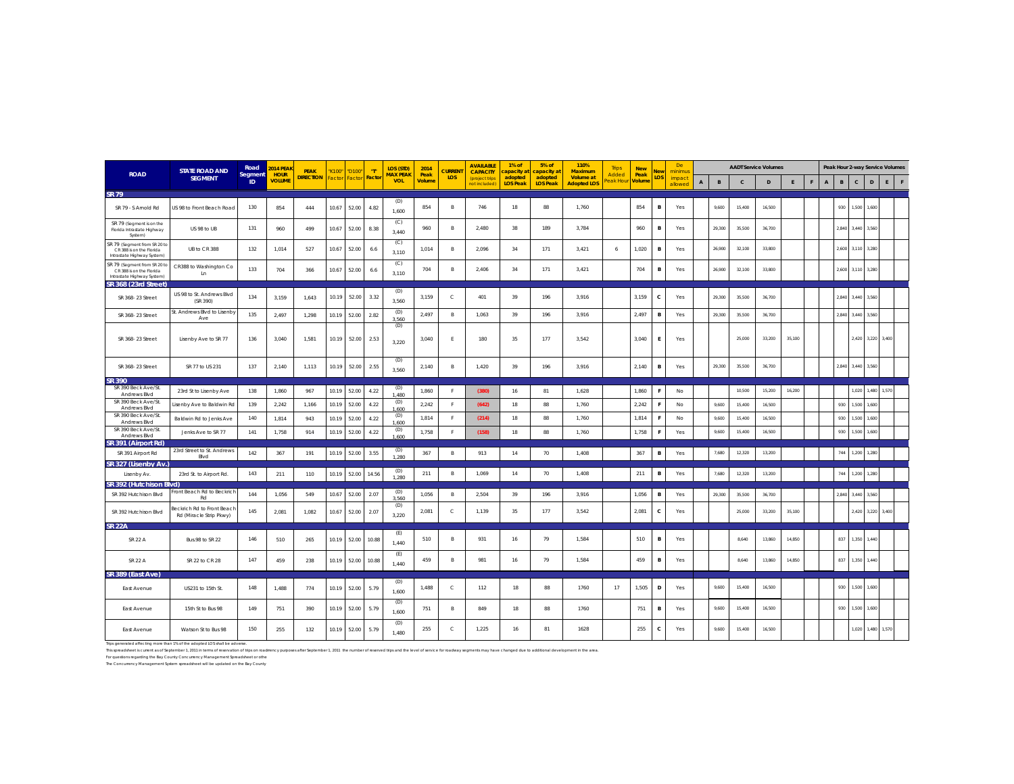| <b>ROAD</b>                                                                            | <b>STATE ROAD AND</b>                                 | Road          | 014 PEA<br><b>HOUR</b> | <b>PEAK</b>      | K100* | 'D100' | $T^*$  | LOS (STD)<br><b>MAX PEAK</b> | 2014<br>Peak | <b>CURRENT</b> | <b>AVAILABLE</b><br><b>CAPACITY</b> | $1\%$ of<br>apacity a      | $5%$ of<br>apacity at      | 110%<br>Maximum                 | Trips<br>Added | <b>New</b><br>Peak | lew            | De<br>minimu      |              |        |              | <b>AADT Service Volumes</b> |        |                     |              |             |             | Peak Hour 2-way Service Volumes |
|----------------------------------------------------------------------------------------|-------------------------------------------------------|---------------|------------------------|------------------|-------|--------|--------|------------------------------|--------------|----------------|-------------------------------------|----------------------------|----------------------------|---------------------------------|----------------|--------------------|----------------|-------------------|--------------|--------|--------------|-----------------------------|--------|---------------------|--------------|-------------|-------------|---------------------------------|
|                                                                                        | <b>SEGMENT</b>                                        | Segment<br>ID | <b>VOLUME</b>          | <b>DIRECTION</b> | actor | Facto  | Factor | <b>VOL</b>                   | Volume       | LOS            | (project trips<br>not included      | adopted<br><b>LOS Peak</b> | adopted<br><b>LOS Peak</b> | Volume at<br><b>Adopted LOS</b> | eak Hou        | Volum              | LOS            | impact<br>allowed | $\mathsf{A}$ | B      | $\mathbf{C}$ | D                           |        | $\overline{A}$<br>E | $\mathbf{B}$ | $\mathbf c$ | $\mathsf D$ | $\mathbb F$<br>E                |
| <b>SR 79</b>                                                                           |                                                       |               |                        |                  |       |        |        |                              |              |                |                                     |                            |                            |                                 |                |                    |                |                   |              |        |              |                             |        |                     |              |             |             |                                 |
| SR 79 - S Arnold Rd                                                                    | US 98 to Front Beach Road                             | 130           | 854                    | 444              | 10.67 | 52.00  | 4.82   | (D)<br>1.600                 | 854          | $\mathbf{B}$   | 746                                 | 18                         | 88                         | 1,760                           |                | 854                | B              | Yes               |              | 9.600  | 15,400       | 16,500                      |        |                     | 930          | 1.500       | 1,600       |                                 |
| SR 79 (Segment is on the<br>Florida Intrastate Highway<br>System)                      | US 98 to UB                                           | 131           | 960                    | 499              | 10.67 | 52.00  | 8.38   | (C)<br>3,440                 | 960          | B              | 2,480                               | 38                         | 189                        | 3,784                           |                | 960                | B <sub>1</sub> | Yes               |              | 29,300 | 35.500       | 36,700                      |        |                     | 2,840        | 3,440       | 3,560       |                                 |
| SR 79 (Segment from SR 20 to<br>CR 388 is on the Florida<br>Intrastate Highway System) | UB to CR 388                                          | 132           | 1,014                  | 527              | 10.67 | 52.00  | 6.6    | (C)<br>3,110                 | 1,014        | $\mathbf{B}$   | 2.096                               | 34                         | 171                        | 3,421                           | 6              | 1,020              | B              | Yes               |              | 26,900 | 32,100       | 33,800                      |        |                     | 2,600        | 3,110       | 3,280       |                                 |
| SR 79 (Segment from SR 20 to<br>CR 388 is on the Florida<br>Intrastate Highway System) | CR388 to Washington Co<br>Ln                          | 133           | 704                    | 366              | 10.67 | 52.00  | 6.6    | (C)<br>3,110                 | 704          | B              | 2,406                               | 34                         | 171                        | 3,421                           |                | 704                | B              | Yes               |              | 26,900 | 32,100       | 33,800                      |        |                     | 2,600        | 3,110       | 3,280       |                                 |
| SR 368 (23rd Street)                                                                   |                                                       |               |                        |                  |       |        |        |                              |              |                |                                     |                            |                            |                                 |                |                    |                |                   |              |        |              |                             |        |                     |              |             |             |                                 |
| SR 368-23 Street                                                                       | US 98 to St. Andrews Blvd<br>(SR 390)                 | 134           | 3,159                  | 1,643            | 10.19 | 52.00  | 3.32   | (D)<br>3,560                 | 3,159        | $\mathbb{C}$   | 401                                 | 39                         | 196                        | 3,916                           |                | 3,159              | $\mathbf{C}$   | Yes               |              | 29,300 | 35,500       | 36,700                      |        |                     | 2,840        | 3,440       | 3,560       |                                 |
| SR 368-23 Street                                                                       | St. Andrews Blvd to Lisenby<br>Ave                    | 135           | 2.497                  | 1,298            | 10.19 | 52.00  | 2.82   | (D)<br>3.560                 | 2.497        | B              | 1,063                               | 39                         | 196                        | 3.916                           |                | 2.497              | B              | Yes               |              | 29,300 | 35,500       | 36,700                      |        |                     | 2,840        | 3,440       | 3,560       |                                 |
| SR 368-23 Street                                                                       | Lisenby Ave to SR 77                                  | 136           | 3,040                  | 1,581            | 10.19 | 52.00  | 2.53   | (D)<br>3,220                 | 3,040        | -F             | 180                                 | 35                         | 177                        | 3,542                           |                | 3,040              | E              | Yes               |              |        | 25,000       | 33,200                      | 35,100 |                     |              | 2,420       | 3,220       | 3,400                           |
| SR 368-23 Street                                                                       | SR 77 to US 231                                       | 137           | 2,140                  | 1,113            | 10.19 | 52.00  | 2.55   | (D)<br>3,560                 | 2,140        | $\overline{B}$ | 1,420                               | 39                         | 196                        | 3,916                           |                | 2,140              | B              | Yes               |              | 29,300 | 35,500       | 36,700                      |        |                     | 2,840        | 3,440       | 3,560       |                                 |
| SR 390                                                                                 |                                                       |               |                        |                  |       |        |        |                              |              |                |                                     |                            |                            |                                 |                |                    |                |                   |              |        |              |                             |        |                     |              |             |             |                                 |
| SR 390 Beck Ave/St.<br>Andrews Blvd                                                    | 23rd St to Lisenby Ave                                | 138           | 1,860                  | 967              | 10.19 | 52.00  | 4.22   | (D)<br>1.480                 | 1.860        | <b>F</b>       | (380)                               | 16                         | 81                         | 1.628                           |                | 1.860              | F              | No                |              |        | 10,500       | 15,200                      | 16,200 |                     |              | 020         | 1,480       | 1,570                           |
| SR 390 Beck Ave/St<br>Andrews Blvd                                                     | Lisenby Ave to Baldwin Rd                             | 139           | 2,242                  | 1,166            | 10.19 | 52.00  | 4.22   | (D)<br>1.600                 | 2,242        | F              | (642)                               | 18                         | 88                         | 1,760                           |                | 2,242              |                | No                |              | 9,600  | 15,400       | 16,500                      |        |                     | 930          | 1,500       | 1,600       |                                 |
| SR 390 Beck Ave/St.<br>Andrews Blvd                                                    | Baldwin Rd to Jenks Ave                               | 140           | 1,814                  | 943              | 10.19 | 52.00  | 4.22   | (D)<br>1.600                 | 1,814        | F              | (214)                               | 18                         | 88                         | 1,760                           |                | 1,814              | Е              | No                |              | 9,600  | 15,400       | 16,500                      |        |                     | 930          | 1500        | 1,600       |                                 |
| SR 390 Beck Ave/St.<br>Andrews Blvd                                                    | Jenks Ave to SR 77                                    | 141           | 1,758                  | 914              | 10.19 | 52.00  | 4.22   | (D)<br>1.600                 | 1,758        | -F             | (158)                               | 18                         | 88                         | 1,760                           |                | 1,758              |                | Yes               |              | 9,600  | 15,400       | 16,500                      |        |                     | 930          | 1,500       | 1,600       |                                 |
| SR 391 (Airport Rd)                                                                    | 23rd Street to St. Andrews                            |               |                        |                  |       |        |        | (D)                          |              |                |                                     |                            |                            |                                 |                |                    |                |                   |              |        |              |                             |        |                     |              |             |             |                                 |
| SR 391 Airport Rd<br>SR 327 (Lisenby Av.)                                              | <b>Rivd</b>                                           | 142           | 367                    | 191              | 10.19 | 52.00  | 3.55   | 1.280                        | 367          | B              | 913                                 | 14                         | 70                         | 1,408                           |                | 367                | B              | Yes               |              | 7,680  | 12,320       | 13,200                      |        |                     | 744          | 1,200       | 1,280       |                                 |
| Lisenby Av.                                                                            | 23rd St. to Airport Rd.                               | 143           | 211                    | 110              | 10.19 | 52.00  | 14.56  | (D)<br>1,280                 | 211          | B              | 1,069                               | 14                         | 70                         | 1,408                           |                | 211                | B              | Yes               |              | 7,680  | 12,320       | 13,200                      |        |                     | 744          | 1.200       | 1,280       |                                 |
| SR 392 (Hutchison Blvd)                                                                | ront Beach Rd to Beckrich                             |               |                        |                  |       |        |        | (D)                          |              |                |                                     |                            |                            |                                 |                |                    |                |                   |              |        |              |                             |        |                     |              |             |             |                                 |
| SR 392 Hutchison Blvd                                                                  | Rd                                                    | 144           | 1,056                  | 549              | 10.67 | 52.00  | 2.07   | 3.560                        | 1,056        | $\mathbf{B}$   | 2,504                               | 39                         | 196                        | 3,916                           |                | 1,056              | B              | Yes               |              | 29.300 | 35,500       | 36.700                      |        |                     | A R40        | 3 440       | 3,560       |                                 |
| SR 392 Hutchison Blvd                                                                  | Beckrich Rd to Front Beach<br>Rd (Miracle Strip Pkwy) | 145           | 2,081                  | 1,082            | 10.67 | 52.00  | 2.07   | (D)<br>3,220                 | 2,081        | $\mathbb C$    | 1,139                               | 35                         | 177                        | 3,542                           |                | 2,081              | c              | Yes               |              |        | 25.000       | 33,200                      | 35,100 |                     |              | 2,420       | 3,220       | 3,400                           |
| <b>SR 22A</b>                                                                          |                                                       |               |                        |                  |       |        |        | (E)                          |              |                |                                     |                            |                            |                                 |                |                    |                |                   |              |        |              |                             |        |                     |              |             |             |                                 |
| SR 22 A                                                                                | Bus.98 to SR 22                                       | 146           | 510                    | 265              | 10.19 | 52.00  | 10.88  | 1.440                        | 510          | $\mathbf{B}$   | 931                                 | 16                         | 79                         | 1,584                           |                | 510                | B              | Yes               |              |        | 8,640        | 13,860                      | 14.850 |                     | 837          | 1,350       | 1,440       |                                 |
| SR 22 A                                                                                | SR 22 to CR 28                                        | 147           | 459                    | 238              | 10.19 | 52.00  | 10.88  | (E)<br>1,440                 | 459          | B              | 981                                 | 16                         | 79                         | 1,584                           |                | 459                | B              | Yes               |              |        | 8.640        | 13,860                      | 14,850 |                     | 837          | 1,350       | 1,440       |                                 |
| SR 389 (East Ave)                                                                      |                                                       |               |                        |                  |       |        |        |                              |              |                |                                     |                            |                            |                                 |                |                    |                |                   |              |        |              |                             |        |                     |              |             |             |                                 |
| East Avenue                                                                            | US231 to 15th St.                                     | 148           | 1,488                  | 774              | 10.19 | 52.00  | 5.79   | (D)<br>1,600                 | 1,488        | C              | 112                                 | 18                         | 88                         | 1760                            | 17             | 1,505              | D              | Yes               |              | 9,600  | 15,400       | 16,500                      |        |                     | 930          | 1,500       | 1,600       |                                 |
| East Avenue                                                                            | 15th St to Bus 98                                     | 149           | 751                    | 390              | 10.19 | 52.00  | 5.79   | (D)<br>1.600                 | 751          | $\mathbf{R}$   | 849                                 | 18                         | 88                         | 1760                            |                | 751                | B              | Yes               |              | 9,600  | 15,400       | 16,500                      |        |                     | 930          | 500         | 1,600       |                                 |
| East Avenue                                                                            | Watson St to Bus 98                                   | 150           | 255                    | 132              | 10.19 | 52.00  | 5.79   | (D)<br>1,480                 | 255          | C              | 1,225                               | 16                         | 81                         | 1628                            |                | 255                | C              | Yes               |              | 9.600  | 15.400       | 16,500                      |        |                     |              | 1.020       | 1,480       | 1,570                           |

Trips generated affecting more than 1% of the adopted LOS shall be adverse.

This speedsheet is current as of September 1, 2011 in terms of reservation of tips on roadrency purposes after September 1, 2011 the number of reserved tips and the level of service for soadway segments may have changed du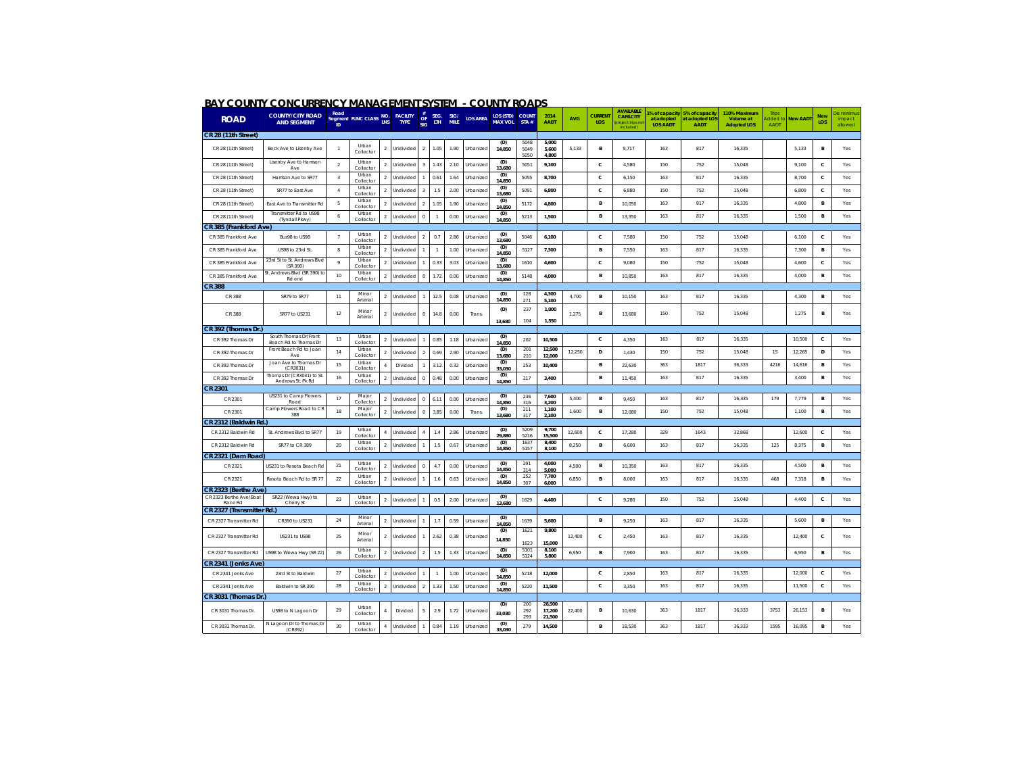| <b>ROAD</b>                              | <b>COUNTY/CITY ROAD</b><br><b>AND SEGMENT</b>  | Road<br>ID     | Segment FUNC CLASS LNS |                | NO. FACILITY<br><b>TYPE</b> | $\mathsf{OF}% \left( \mathcal{M}\right)$<br><b>SIG</b> | SEG.<br>LTH.   | SIG/<br>MILE | <b>LOS AREA</b>                | LOS (STD)<br>MAX VOL | <b>COUN</b><br>STA#  | 2014<br>AADT            | <b>AVG</b> | <b>CURREN</b><br>LOS | <b>AVAILABLE</b><br>CAPACITY | % of capacity<br>at adopted<br><b>LOS AADT</b> | 5% of capacity<br>at adopted LO!<br><b>AADT</b> | 110% Maximum<br>Volume at<br><b>Adopted LOS</b> | dded t<br>AADT | <b>New AADT</b> | New<br>LOS   | impact<br>allowed |
|------------------------------------------|------------------------------------------------|----------------|------------------------|----------------|-----------------------------|--------------------------------------------------------|----------------|--------------|--------------------------------|----------------------|----------------------|-------------------------|------------|----------------------|------------------------------|------------------------------------------------|-------------------------------------------------|-------------------------------------------------|----------------|-----------------|--------------|-------------------|
| CR 28 (11th Street)                      |                                                |                |                        |                |                             |                                                        |                |              |                                |                      |                      |                         |            |                      |                              |                                                |                                                 |                                                 |                |                 |              |                   |
| CR 28 (11th Street)                      | Beck Ave to Lisenby Ave                        | -1             | Urbar<br>Collector     | $\overline{2}$ | Undivided                   | $\overline{2}$                                         | 1.05           | 1.90         | Urbanized                      | (D)<br>14,850        | 5048<br>5049<br>5050 | 5.000<br>5.600<br>4.800 | 5,133      | В                    | 9,717                        | 163                                            | 817                                             | 16,335                                          |                | 5,133           | B            | Yes               |
| CR 28 (11th Street)                      | Lisenby Ave to Harrison<br>Ave                 | $\overline{2}$ | Urban<br>Collector     | $\mathcal{P}$  | Undivided                   | $\overline{\mathbf{3}}$                                | 1.43           | 2.10         | Urbanizec                      | (D)<br>13.680        | 5051                 | 9.100                   |            | $\mathbf c$          | 4.580                        | 150                                            | 752                                             | 15.048                                          |                | 9.100           | $\mathbf c$  | Yes               |
| CR 28 (11th Street)                      | Harrison Ave to SR77                           | 3              | Urban<br>Collector     | $\overline{2}$ | Undivided                   |                                                        | 0.61           | 1.64         | <b>Jrbanized</b>               | (D)<br>14,850        | 5055                 | 8,700                   |            | $\mathbf c$          | 6,150                        | 163                                            | 817                                             | 16,335                                          |                | 8.700           | c            | Yes               |
| CR 28 (11th Street)                      | SR77 to East Ave                               | $\sqrt{4}$     | Urban<br>Collector     | $\overline{2}$ | Undivided                   | $\overline{\mathbf{3}}$                                | 1.5            | 2.00         | Urbanized                      | (D)<br>13,680        | 5091                 | 6,800                   |            | $\mathbf c$          | 6,880                        | 150                                            | 752                                             | 15,048                                          |                | 6,800           | $\mathbf c$  | Yes               |
| CR 28 (11th Street)                      | East Ave to Transmitter Rd                     | 5              | Urban<br>Collector     | $\overline{2}$ | Undivided                   | $\overline{2}$                                         | 1.05           | 1.90         | Urbanizec                      | (D)<br>14,850        | 5172                 | 4.800                   |            | B                    | 10.050                       | 163                                            | 817                                             | 16,335                                          |                | 4,800           | B            | Yes               |
| CR 28 (11th Street)                      | Transmitter Rd to US98<br>(Tyndall Pkwy)       | 6              | Urban<br>Collector     | $\overline{2}$ | Undivided                   | $\mathbf{0}$                                           |                | 0.00         | <b><i><u>Irbanized</u></i></b> | (D)<br>14,850        | 5213                 | 1,500                   |            | B                    | 13.350                       | 163                                            | 817                                             | 16,335                                          |                | 1,500           | в            | Yes               |
| CR 385 (Frankford Ave)                   |                                                |                |                        |                |                             |                                                        |                |              |                                |                      |                      |                         |            |                      |                              |                                                |                                                 |                                                 |                |                 |              |                   |
| CR 385 Frankford Ave                     | Bus98 to US98                                  | $\overline{7}$ | Urban<br>Collector     | $\overline{2}$ | Undivided                   | $\overline{2}$                                         | 0.7            | 2.86         | <b>Jrbanized</b>               | (D)<br>13,680        | 5046                 | 6,100                   |            | $\mathbf c$          | 7.580                        | 150                                            | 752                                             | 15.048                                          |                | 6,100           | $\mathbf c$  | Yes               |
| CR 385 Frankford Ave                     | US98 to 23rd St                                | 8              | Urban<br>Collector     | $\overline{2}$ | Undivided                   |                                                        | $\overline{1}$ | 1.00         | <b>Jrbanized</b>               | (D)<br>14,850        | 5127                 | 7,300                   |            | B                    | 7,550                        | 163                                            | 817                                             | 16,335                                          |                | 7,300           | в            | Yes               |
| CR 385 Frankford Ave                     | 23rd St to St. Andrews Blvd<br>(SR 390)        | $\circ$        | Urban<br>Collecto      | $\mathcal{P}$  | Undivided                   |                                                        | 0.33           | 3.03         | Irbanized                      | (D)<br>13.680        | 1610                 | 4.600                   |            | $\mathbf c$          | 9.080                        | 150                                            | 752                                             | 15,048                                          |                | 4,600           | $\mathbf c$  | Yes               |
| CR 385 Frankford Ave                     | St. Andrews Blvd (SR 390) to<br>Rd end         | 10             | Urban<br>Collector     | $\overline{2}$ | Undivided                   | $\bf{0}$                                               | 1.72           | 0.00         | <b>Irbanized</b>               | (D)<br>14,850        | 5148                 | 4,000                   |            | $\mathbf{R}$         | 10,850                       | 163                                            | 817                                             | 16.335                                          |                | 4.000           | в            | Yes               |
| <b>CR 388</b>                            |                                                |                |                        |                |                             |                                                        |                |              |                                |                      |                      |                         |            |                      |                              |                                                |                                                 |                                                 |                |                 |              |                   |
| CR 388                                   | SR79 to SR77                                   | 11             | Minor<br>Arterial      | $\mathcal{P}$  | Undivided                   | 1                                                      | 12.5           | 0.08         | Urbanizec                      | (D)<br>14.850        | 128<br>271           | 4.300<br>5.100          | 4,700      | В                    | 10.150                       | 163                                            | 817                                             | 16,335                                          |                | 4,300           | в            | Yes               |
| CR 388                                   | SR77 to US231                                  | 12             | Minor<br>Arterial      | $\mathcal{P}$  | Undivided                   | $\circ$                                                | 14.8           | 0.00         | Trans.                         | (D)                  | 237                  | 1,000                   | 1.275      | B                    | 13,680                       | 150                                            | 752                                             | 15,048                                          |                | 1,275           | B            | Yes               |
|                                          |                                                |                |                        |                |                             |                                                        |                |              |                                | 13,680               | 104                  | 1,550                   |            |                      |                              |                                                |                                                 |                                                 |                |                 |              |                   |
| CR 392 (Thomas Dr.)                      |                                                |                |                        |                |                             |                                                        |                |              |                                |                      |                      |                         |            |                      |                              |                                                |                                                 |                                                 |                |                 |              |                   |
| CR 392 Thomas Dr                         | South Thomas Dr/Front<br>Beach Rd to Thomas Dr | 13             | Urban<br>Collector     | $\overline{2}$ | Undivided                   |                                                        | 0.85           | 1.18         | Urbanized                      | (D)<br>14,850        | 202                  | 10,500                  |            | c                    | 4.350                        | 163                                            | 817                                             | 16.335                                          |                | 10.500          | $\mathbf c$  | Yes               |
| CR 392 Thomas Dr                         | Front Beach Rd to Joan<br>Ave                  | 14             | Urban<br>Collector     | $\overline{2}$ | Undivided                   | $\,2\,$                                                | 0.69           | 2.90         | Jrbanized                      | (D)<br>13,680        | 201<br>210           | 12.500<br>12.000        | 12,250     | D                    | 1,430                        | 150                                            | 752                                             | 15,048                                          | 15             | 12,265          | D            | Yes               |
| CR 392 Thomas Dr                         | Joan Ave to Thomas Dr<br>(CR3031)              | 15             | Urban<br>Collector     | $\Lambda$      | Divided                     | 1                                                      | 3.12           | 0.32         | Irhanizec                      | (D)<br>33.030        | 253                  | 10.400                  |            | $\overline{B}$       | 22.630                       | 363                                            | 1817                                            | 36,333                                          | 4216           | 14,616          | B            | Yes               |
| CR 392 Thomas Dr                         | Thomas Dr (CR3031) to St<br>Andrews St. Pk Rd  | 16             | Urban<br>Collector     | $\overline{2}$ | Undivide                    | $\circ$                                                | 0.48           | 0.00         | <b>Jrbanized</b>               | (D)<br>14,850        | 217                  | 3,400                   |            | $\mathbf{R}$         | 11,450                       | 163                                            | 817                                             | 16.335                                          |                | 3.400           | в            | Yes               |
| <b>CR 2301</b>                           |                                                |                |                        |                |                             |                                                        |                |              |                                |                      |                      |                         |            |                      |                              |                                                |                                                 |                                                 |                |                 |              |                   |
| CR 2301                                  | US231 to Camp Flowers<br>Road                  | 17             | Major<br>Collector     | $\overline{2}$ | Undivided                   | $\circ$                                                | 6.1            | 0.00         | Urbanized                      | (D)<br>14.850        | 236<br>316           | 7,600<br>3,200          | 5,400      | В                    | 9.450                        | 163                                            | 817                                             | 16,335                                          | 179            | 7,779           | в            | Yes               |
| CR 2301                                  | Camp Flowers Road to CR<br>388                 | 18             | Major<br>Collector     | $\overline{2}$ | Undivided                   | $\circ$                                                | 3.85           | 0.00         | Trans.                         | (D)<br>13,680        | 211<br>317           | 1.100<br>2,100          | 1,600      | B                    | 12,080                       | 150                                            | 752                                             | 15,048                                          |                | 1,100           | $\,$ B       | Yes               |
| CR 2312 (Baldwin Rd.)                    |                                                |                |                        |                |                             |                                                        |                |              |                                |                      |                      |                         |            |                      |                              |                                                |                                                 |                                                 |                |                 |              |                   |
| CR 2312 Baldwin Rd                       | St. Andrews Blvd to SR77                       | 19             | Urban<br>Collector     | $\overline{a}$ | Undivided                   | $\sqrt{4}$                                             | 1.4            | 2.86         | <b><i><u>Irbanized</u></i></b> | (D)<br>29.880        | 5209<br>5216         | 9.700<br>15.500         | 12,600     | $\mathbf{C}$         | 17.280                       | 329                                            | 1643                                            | 32.868                                          |                | 12.600          | $\mathbf{C}$ | Yes               |
| CR 2312 Baldwin Rd                       | SR77 to CR 389                                 | 20             | Urban<br>Collector     | $\overline{2}$ | Undivided                   |                                                        | 1.5            | 0.67         | <b>Jrbanized</b>               | (D)<br>14,850        | 1637<br>5157         | 8,400<br>8,100          | 8,250      | B                    | 6,600                        | 163                                            | 817                                             | 16,335                                          | 125            | 8,375           | в            | Yes               |
| CR 2321 (Dam Road                        |                                                |                |                        |                |                             |                                                        |                |              |                                |                      |                      |                         |            |                      |                              |                                                |                                                 |                                                 |                |                 |              |                   |
| CR 2321                                  | US231 to Resota Beach Rd                       | 21             | Urban<br>Collector     | $\overline{2}$ | Undivided                   | $\circ$                                                | 4.7            | 0.00         | <b>Jrbanized</b>               | (D)<br>14,850        | 291<br>314           | 4.000<br>5,000          | 4.500      | $\mathbf{R}$         | 10.350                       | 163                                            | 817                                             | 16.335                                          |                | 4.500           | $\mathbf{B}$ | Yes               |
| CR 2321                                  | Resota Beach Rd to SR 7                        | 22             | Urban<br>Collector     | $\overline{2}$ | Undivided                   |                                                        | 1.6            | 0.63         | <b>Jrbanized</b>               | (D)<br>14,850        | 252<br>307           | 7,700<br>6,000          | 6,850      | B                    | 8.000                        | 163                                            | 817                                             | 16,335                                          | 468            | 7,318           | в            | Yes               |
| CR 2323 (Berthe Ave)                     |                                                |                |                        |                |                             |                                                        |                |              |                                |                      |                      |                         |            |                      |                              |                                                |                                                 |                                                 |                |                 |              |                   |
| CR 2323 Berthe Ave/Boa<br>Race Rd        | SR22 (Wewa Hwy) to<br>Cherry St                | 23             | Urban<br>Collector     | $\overline{2}$ | Undivided                   | 1                                                      | 0.5            | 2.00         | Urbanized                      | (D)<br>13,680        | 1629                 | 4,400                   |            | c                    | 9,280                        | 150                                            | 752                                             | 15.048                                          |                | 4,400           | c            | Yes               |
| CR 2327 (Transmitter Rd.)                |                                                |                |                        |                |                             |                                                        |                |              |                                |                      |                      |                         |            |                      |                              |                                                |                                                 |                                                 |                |                 |              |                   |
| CR 2327 Transmitter Rd                   | CR390 to US231                                 | 24             | Minor<br>Arterial      | $\overline{2}$ | Undivided                   | 1                                                      | 1.7            | 0.59         | Urbanized                      | (D)<br>14,850        | 1639                 | 5,600                   |            | $\mathbf{R}$         | 9,250                        | 163                                            | 817                                             | 16.335                                          |                | 5,600           | $\mathbf{B}$ | Yes               |
| CR 2327 Transmitter Rd                   | US231 to US98                                  | 25             | Minor<br>Arterial      | $\overline{2}$ | Undivided                   | ĭ.                                                     | 2.62           | 0.38         | Urbanized                      | (D)                  | 1621                 | 9,800                   | 12.400     | $\mathsf{C}$         | 2.450                        | 163                                            | 817                                             | 16.335                                          |                | 12,400          | $\mathbf c$  | Yes               |
| CR 2327 Transmitter Rd                   | US98 to Wewa Hwy (SR 22)                       | 26             | Urban                  | $\overline{2}$ | Undivided                   | $\sqrt{2}$                                             | 1.5            | 1.33         | <b>Jrbanized</b>               | 14,850<br>(D)        | 1623<br>5101         | 15.000<br>8,100         | 6,950      | B                    | 7,900                        | 163                                            | 817                                             | 16,335                                          |                | 6,950           | в            | Yes               |
|                                          |                                                |                | Collector              |                |                             |                                                        |                |              |                                | 14,850               | 5124                 | 5,800                   |            |                      |                              |                                                |                                                 |                                                 |                |                 |              |                   |
| CR 2341 (Jenks Ave)<br>CR 2341 Jenks Ave | 23rd St to Baldwin                             | 27             | Urban                  | $\overline{2}$ | Undivided                   |                                                        | 1              | 1.00         | <b>Jrbanized</b>               | (D)                  | 5218                 | 12,000                  |            | $\mathbf{C}$         | 2.850                        | 163                                            | 817                                             | 16.335                                          |                | 12,000          | $\mathsf{C}$ | Yes               |
| CR 2341 Jenks Ave                        | Baldwin to SR 390                              | 28             | Collector<br>Urban     | $\,2\,$        | Undivided                   | $\overline{2}$                                         | 1.33           | 1.50         | <b>Irbanized</b>               | 14.850<br>(D)        | 5220                 | 11,500                  |            | c                    | 3.350                        | 163                                            | 817                                             | 16,335                                          |                | 11,500          | c            | Yes               |
| CR 3031 (Thomas Dr.)                     |                                                |                | Collector              |                |                             |                                                        |                |              |                                | 14,850               |                      |                         |            |                      |                              |                                                |                                                 |                                                 |                |                 |              |                   |
| CR 3031 Thomas D                         | US98 to N Lagoon Dr                            | 29             | Urban<br>Collector     |                | Divided                     | 5                                                      | 2.9            | 1.72         | Urbanizec                      | (D)<br>33,030        | 200<br>292           | 28,500<br>17.200        | 22.400     | $\mathbf{R}$         | 10,630                       | 363                                            | 1817                                            | 36.333                                          | 3753           | 26,153          | $\mathbf{B}$ | Yes               |
| CR 3031 Thomas Dr.                       | N Lagoon Dr to Thomas Dr<br>(CR392)            | 30             | Urban<br>Collector     | $\overline{a}$ | Undivided                   | $\mathbf{1}$                                           | 0.84           | 1.19         | Urbanized                      | (D)<br>33.030        | 293<br>279           | 21,500<br>14.500        |            | $\overline{B}$       | 18.530                       | 363                                            | 1817                                            | 36.333                                          | 1595           | 16,095          | $\mathbf{B}$ | Yes               |

## **BAY COUNTY CONCURRENCY MANAGEMENT SYSTEM - COUNTY ROADS**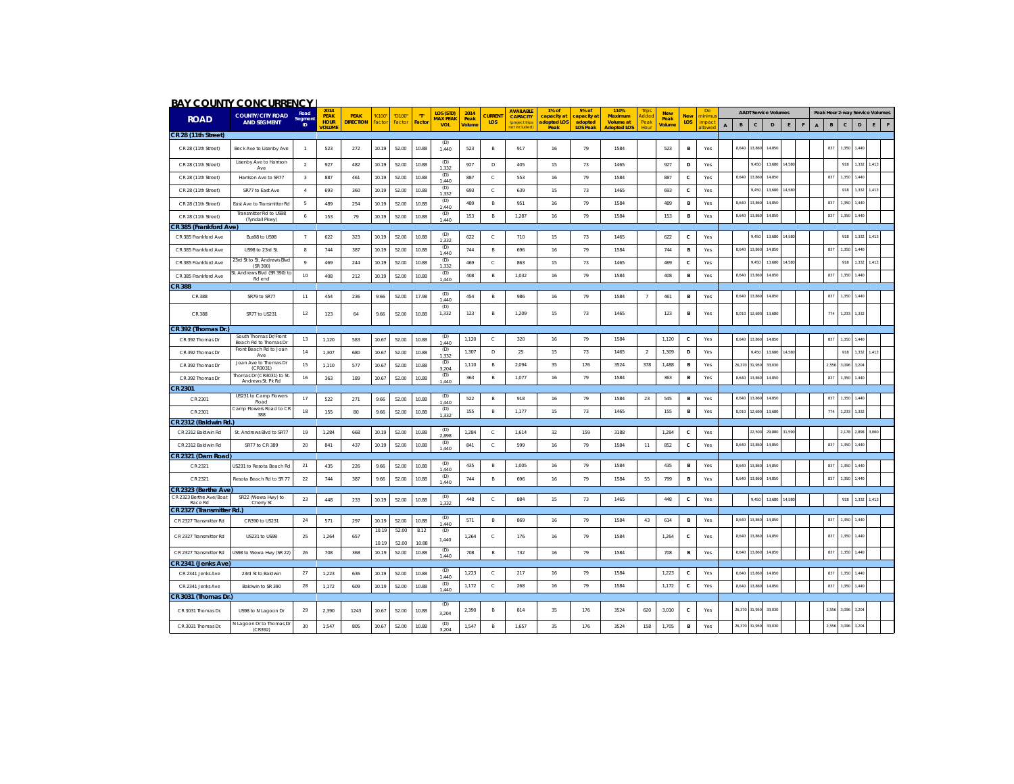| <b>BAY COUNTY CONCURRENCY I</b> |  |  |
|---------------------------------|--|--|
|                                 |  |  |

|                                    | <b>COUNTY/CITY ROAD</b>                        | Road                    | 2014<br><b>PEAK</b>         | <b>PEAK</b>      | K100   | "D100" |        | LOS (STD)                     | 2014          | <b>CURRENT</b> | <b>AVAILABLE</b><br><b>CAPACITY</b> | 1% of<br><mark>capacity at</mark> | <b>5% of</b><br>capacity a | 110%<br>Maximum          | Adde           | <b>New</b>     | <b>New</b>  | De<br>ninim |                |              |              | <b>AADT Service Volumes</b> |   |                |       |              |       | Peak Hour 2-way Service Volumes |
|------------------------------------|------------------------------------------------|-------------------------|-----------------------------|------------------|--------|--------|--------|-------------------------------|---------------|----------------|-------------------------------------|-----------------------------------|----------------------------|--------------------------|----------------|----------------|-------------|-------------|----------------|--------------|--------------|-----------------------------|---|----------------|-------|--------------|-------|---------------------------------|
| <b>ROAD</b>                        | <b>AND SEGMENT</b>                             | Segmen<br><b>ID</b>     | <b>HOUR</b><br><b>ZOLUM</b> | <b>DIRECTION</b> | Factor | Factor | Factor | <b>MAX PEAK</b><br><b>VOL</b> | Peak<br>/olum | LOS            |                                     | adopted LOS<br>Peak               | adopted<br><b>LOS Peak</b> | Volume at<br>Adopted LOS | Peak<br>Hour   | Peak<br>Volume | LOS         | mpa         | $\overline{A}$ | B            | $\mathbf{C}$ | D<br>E                      | F | $\overline{A}$ | B     | $\mathsf{c}$ | D     | F<br>E                          |
| CR 28 (11th Street)                |                                                |                         |                             |                  |        |        |        |                               |               |                |                                     |                                   |                            |                          |                |                |             |             |                |              |              |                             |   |                |       |              |       |                                 |
| CR 28 (11th Street)                | Beck Ave to Lisenby Ave                        | $\overline{1}$          | 523                         | 272              | 10.19  | 52.00  | 10.88  | (D)<br>1.440                  | 523           | $\mathbb{R}$   | 917                                 | 16                                | 79                         | 1584                     |                | 523            | B           | Yes         |                | 8.640        | 13.86        | 14,850                      |   |                | 837   | 1,350        | 1,440 |                                 |
| CR 28 (11th Street)                | Lisenby Ave to Harrison<br>Ave                 | $\overline{2}$          | 927                         | 482              | 10.19  | 52.00  | 10.88  | (D)<br>1.332                  | 927           | D              | 405                                 | 15                                | 73                         | 1465                     |                | 927            | D           | Yes         |                |              | 9.450        | 13,680<br>14,580            |   |                |       | 918          | 1,332 | 1,413                           |
| CR 28 (11th Street)                | Harrison Ave to SR77                           | $\overline{\mathbf{3}}$ | 887                         | 461              | 10.19  | 52.00  | 10.88  | (D)<br>1,440                  | 887           | C              | 553                                 | 16                                | 79                         | 1584                     |                | 887            | $\mathbf c$ | Yes         |                | 8,640        | 13.86        | 14,850                      |   |                | 837   | 1.350        | 1.440 |                                 |
| CR 28 (11th Street)                | SR77 to East Ave                               | $\sim$                  | 693                         | 360              | 10.19  | 52.00  | 10.88  | (D)<br>1,332                  | 693           | $\mathbb C$    | 639                                 | 15                                | 73                         | 1465                     |                | 693            | $\mathbf c$ | Yes         |                |              | 9,450        | 13,680<br>14.58             |   |                |       | 918          | 1,332 | 1,413                           |
| CR 28 (11th Street)                | East Ave to Transmitter Rd                     | $-5$                    | 489                         | 254              | 10.19  | 52.00  | 10.88  | (D)<br>1440                   | 489           | B              | 951                                 | 16                                | 79                         | 1584                     |                | 489            | B           | Yes         |                | 8,640        | 3.86         | 14,850                      |   |                | 837   | 1.350        | 1.440 |                                 |
| CR 28 (11th Street)                | Transmitter Rd to US98<br>(Tyndall Pkwy)       | 6                       | 153                         | 79               | 10.19  | 52.00  | 10.88  | (D)<br>1440                   | 153           | B              | 1,287                               | 16                                | 79                         | 1584                     |                | 153            | B           | Yes         |                | 8,640        | 13.86        | 14,850                      |   |                | 837   | 1,350        | 1.440 |                                 |
| CR 385 (Frankford Ave)             |                                                |                         |                             |                  |        |        |        |                               |               |                |                                     |                                   |                            |                          |                |                |             |             |                |              |              |                             |   |                |       |              |       |                                 |
| CR 385 Frankford Ave               | Bus98 to US98                                  | 7                       | 622                         | 323              | 10.19  | 52.00  | 10.88  | (D)<br>1.332                  | 622           | $\mathbb{C}$   | 710                                 | 15                                | 73                         | 1465                     |                | 622            | $\mathbf c$ | Yes         |                |              | 9.45         | 13,680<br>14.58             |   |                |       | 918          |       | 1.332 1.41                      |
| CR 385 Frankford Ave               | US98 to 23rd St.                               | $^{\circ}$              | 744                         | 387              | 10.19  | 52.00  | 10.88  | (D)<br>1.440                  | 744           | B              | 696                                 | 16                                | 79                         | 1584                     |                | 744            | B           | Yes         |                | 8.640        | 13.86        | 14.850                      |   |                | 837   | 1.350        | 1.440 |                                 |
| CR 385 Frankford Ave               | 23rd St to St. Andrews Blvd<br>(SR 390)        | 9                       | 469                         | 244              | 10.19  | 52.00  | 10.88  | (D)<br>1,332                  | 469           | $\mathbb C$    | 863                                 | 15                                | 73                         | 1465                     |                | 469            | c           | Yes         |                |              | 9.45         | 13,680<br>14.58             |   |                |       | 918          | 1,332 | 1.41                            |
| CR 385 Frankford Ave               | St. Andrews Blvd (SR 390) to<br>Rd end         | 10                      | 408                         | 212              | 10.19  | 52.00  | 10.88  | (D)<br>1.440                  | 408           | $\mathsf{B}$   | 1,032                               | 16                                | 79                         | 1584                     |                | 408            | B           | Yes         |                | 8,640        | 13,86        | 14,850                      |   |                | 837   | 1,350        | 1,440 |                                 |
| <b>CR 388</b>                      |                                                |                         |                             |                  |        |        |        |                               |               |                |                                     |                                   |                            |                          |                |                |             |             |                |              |              |                             |   |                |       |              |       |                                 |
| CR 388                             | SR79 to SR77                                   | 11                      | 454                         | 236              | 9.66   | 52.00  | 17.98  | (D)                           | 454           | $\,$ B         | 986                                 | 16                                | 79                         | 1584                     | 7              | 461            | B           | Yes         |                | 8,640 13,860 |              | 14,850                      |   |                | 837   | 1,350        | 1.440 |                                 |
| CR 388                             | SR77 to US231                                  | 12                      | 123                         | 64               | 9.66   | 52.00  | 10.88  | 1,440<br>(D)<br>1,332         | 123           | B              | 1,209                               | 15                                | 73                         | 1465                     |                | 123            | В           | Yes         |                | 8,010        | 12,69        | 13,680                      |   |                | 774   | 1,233        | 1,332 |                                 |
|                                    |                                                |                         |                             |                  |        |        |        |                               |               |                |                                     |                                   |                            |                          |                |                |             |             |                |              |              |                             |   |                |       |              |       |                                 |
| CR 392 (Thomas Dr                  |                                                |                         |                             |                  |        |        |        |                               |               |                |                                     |                                   |                            |                          |                |                |             |             |                |              |              |                             |   |                |       |              |       |                                 |
| CR 392 Thomas Dr                   | South Thomas Dr/Front<br>Beach Rd to Thomas Dr | 13                      | 1.120                       | 583              | 10.67  | 52.00  | 10.88  | (D)<br>1440                   | 1,120         | $\mathbb C$    | 320                                 | 16                                | 79                         | 1584                     |                | 1,120          | $\mathbf c$ | Yes         |                | 8.640 13.86  |              | 14,850                      |   |                | 837   | 1.350        | 1,440 |                                 |
| CR 392 Thomas Dr                   | Front Beach Rd to Joan<br>Ave                  | 14                      | 1,307                       | 680              | 10.67  | 52.00  | 10.88  | (D)<br>1,332                  | 1,307         | $\mathsf D$    | 25                                  | 15                                | 73                         | 1465                     | $\overline{2}$ | 1.309          | D           | Yes         |                |              | 9.450        | 13,680<br>14.58             |   |                |       | 918          |       | 1,332 1,413                     |
| CR 392 Thomas Dr                   | Joan Ave to Thomas Dr<br>(CR3031)              | 15                      | 1,110                       | 577              | 10.67  | 52.00  | 10.88  | (D)<br>3,204                  | 1,110         | $\,$ B         | 2,094                               | 35                                | 176                        | 3524                     | 378            | 1,488          | B           | Yes         |                | 26,370       | 31.95        | 33,030                      |   |                | 2.55  | 3.096        | 3.20  |                                 |
| CR 392 Thomas Dr                   | Thomas Dr (CR3031) to St.<br>Andrews St. Pk Rd | 16                      | 363                         | 189              | 10.67  | 52.00  | 10.88  | (D)<br>1440                   | 363           | $\,$ B         | 1,077                               | 16                                | 79                         | 1584                     |                | 363            | B           | Yes         |                | 8,640        | 13,86        | 14,850                      |   |                | 837   | 1,350        | 1,440 |                                 |
| <b>CR 2301</b>                     |                                                |                         |                             |                  |        |        |        |                               |               |                |                                     |                                   |                            |                          |                |                |             |             |                |              |              |                             |   |                |       |              |       |                                 |
| CR 2301                            | US231 to Camp Flowers<br>Road                  | 17                      | 522                         | 271              | 9.66   | 52.00  | 10.88  | (D)<br>1,440                  | 522           | $\,$ B         | 918                                 | 16                                | 79                         | 1584                     | 23             | 545            | B           | Yes         |                | 8,640        | 13.86        | 14,850                      |   |                | 837   | 1.350        | 1.440 |                                 |
| CR 2301                            | Camp Flowers Road to CF<br>388                 | 18                      | 155                         | 80               | 9.66   | 52.00  | 10.88  | (D)<br>1.332                  | 155           | B              | 1,177                               | 15                                | 73                         | 1465                     |                | 155            | $\,$ B      | Yes         |                | 8,010        | 12,69        | 13,680                      |   |                | 774   | 1,233        | 1,332 |                                 |
| CR 2312 (Baldwin Rd.)              |                                                |                         |                             |                  |        |        |        |                               |               |                |                                     |                                   |                            |                          |                |                |             |             |                |              |              |                             |   |                |       |              |       |                                 |
| CR 2312 Baldwin Rd                 | St. Andrews Blvd to SR77                       | 19                      | 1,284                       | 668              | 10.19  | 52.00  | 10.88  | (D)<br>2,898                  | 1,284         | c              | 1,614                               | 32                                | 159                        | 3188                     |                | 1,284          | c           | Yes         |                |              | 2.50         | 29,880<br>31.59             |   |                |       | 2.178        | 2,898 | 3.060                           |
| CR 2312 Baldwin Rd                 | SR77 to CR 389                                 | 20                      | 841                         | 437              | 10.19  | 52.00  | 10.88  | (D)<br>1440                   | 841           | c              | 599                                 | 16                                | 79                         | 1584                     | 11             | 852            | $\mathbf c$ | Yes         |                | 8,640        | 13,86        | 14,850                      |   |                | 837   | 1,350        | 1,440 |                                 |
| CR 2321 (Dam Road)                 |                                                |                         |                             |                  |        |        |        |                               |               |                |                                     |                                   |                            |                          |                |                |             |             |                |              |              |                             |   |                |       |              |       |                                 |
| CR 2321                            | US231 to Resota Beach Rd                       | 21                      | 435                         | 226              | 9.66   | 52.00  | 10.88  | (D)<br>1,440                  | 435           | B              | 1,005                               | 16                                | 79                         | 1584                     |                | 435            | B           | Yes         |                | 8,640        | 13,86        | 14,850                      |   |                | 837   | 1.350        | 1.440 |                                 |
| CR 2321                            | Resota Beach Rd to SR 77                       | 22                      | 744                         | 387              | 9.66   | 52.00  | 10.88  | (D)<br>1.440                  | 744           | B              | 696                                 | 16                                | 79                         | 1584                     | 55             | 799            | B           | Yes         |                | 8.640        | 13.86        | 14.850                      |   |                | 837   | 1.350        | 1.440 |                                 |
| CR 2323 (Berthe Ave)               |                                                |                         |                             |                  |        |        |        |                               |               |                |                                     |                                   |                            |                          |                |                |             |             |                |              |              |                             |   |                |       |              |       |                                 |
| CR 2323 Berthe Ave/Boat<br>Race Rd | SR22 (Wewa Hwy) to<br>Cherry St                | 23                      | 448                         | 233              | 10.19  | 52.00  | 10.88  | (D)<br>1,332                  | 448           | $\mathbb C$    | 884                                 | 15                                | 73                         | 1465                     |                | 448            | c           | Yes         |                |              | 9,450        | 13,680<br>14,58             |   |                |       | 918          |       | 1,332 1,413                     |
| CR 2327 (Transmitter Rd.)          |                                                |                         |                             |                  |        |        |        |                               |               |                |                                     |                                   |                            |                          |                |                |             |             |                |              |              |                             |   |                |       |              |       |                                 |
| CR 2327 Transmitter Rd             | CR390 to US231                                 | 24                      | 571                         | 297              | 10.19  | 52.00  | 10.88  | (D)<br>1,440                  | 571           | B              | 869                                 | 16                                | 79                         | 1584                     | 43             | 614            | B           | Yes         |                | 8,640        | 13,86        | 14,850                      |   |                | 837   | 1.350        | 1,440 |                                 |
| CR 2327 Transmitter Rd             | US231 to US98                                  | 25                      | 1.264                       | 657              | 10.19  | 52.00  | 8.12   | (D)                           | 1.264         | $\mathbb C$    | 176                                 | 16                                | 79                         | 1584                     |                | 1,264          | $\mathbf c$ | Yes         |                | 8,640        | 13,86        | 14,850                      |   |                | 837   | 1,350        | 1,440 |                                 |
|                                    |                                                |                         |                             |                  | 10.19  | 52.00  | 10.88  | 1,440                         |               |                |                                     |                                   |                            |                          |                |                |             |             |                |              |              |                             |   |                |       |              |       |                                 |
| CR 2327 Transmitter Rd             | US98 to Wewa Hwy (SR 22)                       | 26                      | 708                         | 368              | 10.19  | 52.00  | 10.88  | (D)<br>1440                   | 708           | B              | 732                                 | 16                                | 79                         | 1584                     |                | 708            | в           | Yes         |                | 8,640        | 3.86         | 14,850                      |   |                | 837   | 1.350        | 1.440 |                                 |
| CR 2341 (Jenks Ave)                |                                                |                         |                             |                  |        |        |        |                               |               |                |                                     |                                   |                            |                          |                |                |             |             |                |              |              |                             |   |                |       |              |       |                                 |
| CR 2341 Jenks Ave                  | 23rd St to Baldwin                             | 27                      | 1,223                       | 636              | 10.19  | 52.00  | 10.88  | (D)<br>1.440                  | 1,223         | $\mathbb C$    | 217                                 | 16                                | 79                         | 1584                     |                | 1,223          | $\mathbf c$ | Yes         |                | 8,640        | 3.86         | 14,850                      |   |                | 837   | 1.350        | 1.440 |                                 |
| CR 2341 Jenks Ave                  | Baldwin to SR 390                              | 28                      | 1,172                       | 609              | 10.19  | 52.00  | 10.88  | (D)<br>1.440                  | 1,172         | $\mathbb C$    | 268                                 | 16                                | 79                         | 1584                     |                | 1,172          | $\mathbf c$ | Yes         |                | 8,640        | 13,86        | 14,850                      |   |                | 837   | 1,350        | 1,440 |                                 |
| CR 3031 (Thomas Dr.)               |                                                |                         |                             |                  |        |        |        |                               |               |                |                                     |                                   |                            |                          |                |                |             |             |                |              |              |                             |   |                |       |              |       |                                 |
| CR 3031 Thomas Dr                  | US98 to N Lagoon Dr                            | 29                      | 2,390                       | 1243             | 10.67  | 52.00  | 10.88  | (D)<br>3,204                  | 2,390         | B              | 814                                 | 35                                | 176                        | 3524                     | 620            | 3,010          | $\mathbf c$ | Yes         |                | 26.370 31.95 |              | 33,030                      |   |                | 2.556 | 3.096        | 3.204 |                                 |
| CR 3031 Thomas Dr.                 | N Lagoon Dr to Thomas Dr<br>(C. R. 392)        | 30                      | 1,547                       | 805              | 10.67  | 52.00  | 10.88  | (D)<br>3,204                  | 1,547         | B              | 1,657                               | 35                                | 176                        | 3524                     | 158            | 1,705          | в           | Yes         |                | 26,370       | 31.95        | 33,030                      |   |                | 2.556 | 3,096        | 3,204 |                                 |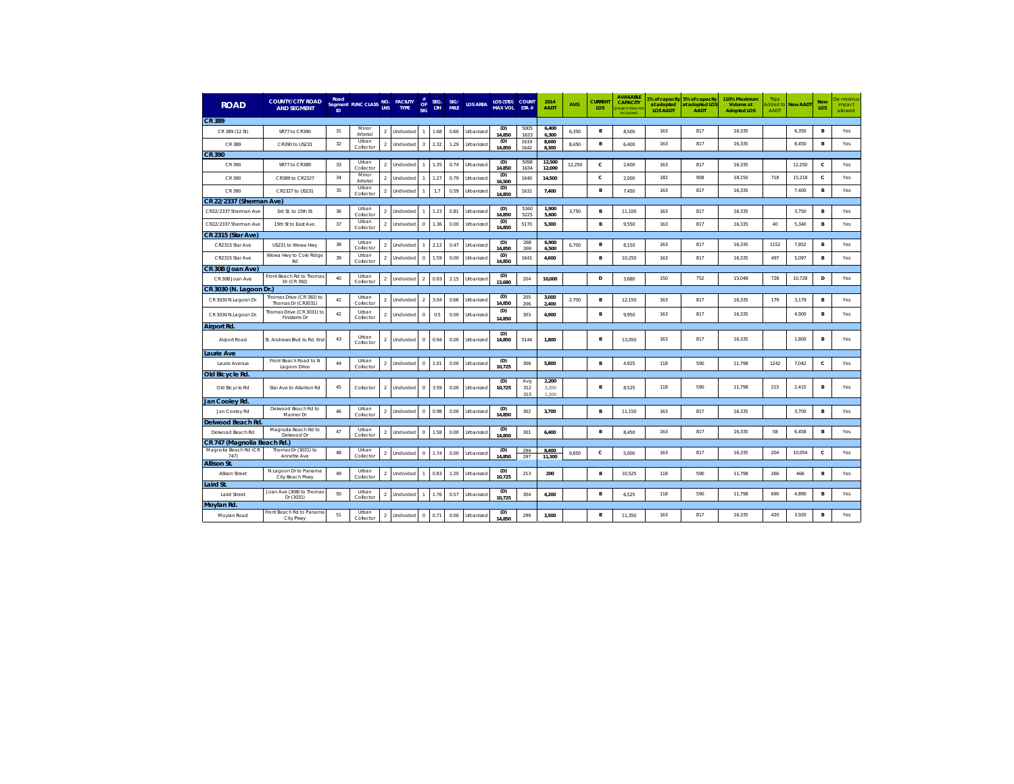| <b>ROAD</b>                   | <b>COUNTY/CITY ROAD</b><br><b>AND SEGMENT</b>  | Road<br>ÎD. | Segment FUNC CLASS | NO.<br><b>LNS</b> | <b>FACILITY</b><br><b>TYPE</b> | OF<br><b>SIG</b> | SEG.<br>LTH | SIG/<br>MILE | <b>LOS AREA</b> | LOS (STD)<br><b>MAX VOL</b> | <b>COUNT</b><br>STA# | 2014<br><b>AADT</b>     | <b>AVG</b> | <b>CURREN</b><br>LOS | <b>AVAILABLE</b><br><b>CAPACITY</b><br>roject trips<br>included) | % of capacity<br>at adopted<br><b>LOS AADT</b> | 5% of capacity<br>at adopted LOS<br><b>AADT</b> | 110% Maximum<br>Volume at<br><b>Adopted LOS</b> | Trips<br>Added to<br>AADT | <b>New AADT</b> | <b>New</b><br>LOS | minim<br>impact<br>allowed |
|-------------------------------|------------------------------------------------|-------------|--------------------|-------------------|--------------------------------|------------------|-------------|--------------|-----------------|-----------------------------|----------------------|-------------------------|------------|----------------------|------------------------------------------------------------------|------------------------------------------------|-------------------------------------------------|-------------------------------------------------|---------------------------|-----------------|-------------------|----------------------------|
| <b>CR 389</b>                 |                                                |             |                    |                   |                                |                  |             |              |                 |                             |                      |                         |            |                      |                                                                  |                                                |                                                 |                                                 |                           |                 |                   |                            |
| CR 389 (12 St)                | SR77 to CR390                                  | 31          | Minor<br>Arterial  | $\overline{2}$    | Undivided                      |                  | 1.68        | 0.60         | Urbanized       | (D)<br>14,850               | 5005<br>1633         | 6,400<br>6,300          | 6.350      | $\mathbf{R}$         | 8.500                                                            | 163                                            | 817                                             | 16,335                                          |                           | 6,350           | в                 | Yes                        |
| CR 389                        | CR390 to US231                                 | 32          | Urban<br>Collector | $\overline{2}$    | Undivided                      | 3                | 2.32        | 1.29         | Urbanized       | (D)<br>14,850               | 1619<br>1642         | 8,600<br>8.300          | 8,450      | B                    | 6,400                                                            | 163                                            | 817                                             | 16.335                                          |                           | 8.450           | в                 | Yes                        |
| <b>CR 390</b>                 |                                                |             |                    |                   |                                |                  |             |              |                 |                             |                      |                         |            |                      |                                                                  |                                                |                                                 |                                                 |                           |                 |                   |                            |
| CR 390                        | SR77 to CR389                                  | 33          | Urban<br>Collector |                   | Undivided                      |                  | 1.35        | 0.74         | Urbanized       | (D)<br>14,850               | 5098<br>1634         | 12,500<br>12.000        | 12,250     | c                    | 2,600                                                            | 163                                            | 817                                             | 16,335                                          |                           | 12,250          | $\mathsf{c}$      | Yes                        |
| CR 390                        | CR389 to CR2327                                | 34          | Minor<br>Arterial  | $\overline{2}$    | Undivided                      |                  | 1.27        | 0.79         | Urbanized       | (D)<br>16,500               | 1640                 | 14,500                  |            | c                    | 2.000                                                            | 182                                            | 908                                             | 18,150                                          | 718                       | 15,218          | $_{\rm c}$        | Yes                        |
| CR 390                        | CR2327 to US231                                | 35          | Urban<br>Collector | $\overline{2}$    | Undivided                      |                  | 1.7         | 0.59         | Urbanized       | (D)<br>14,850               | 1631                 | 7,400                   |            | В                    | 7,450                                                            | 163                                            | 817                                             | 16,335                                          |                           | 7,400           | в                 | Yes                        |
| CR 22/2337 (Sherman Ave)      |                                                |             |                    |                   |                                |                  |             |              |                 |                             |                      |                         |            |                      |                                                                  |                                                |                                                 |                                                 |                           |                 |                   |                            |
| CR22/2337 Sherman Ave         | 3rd St. to 15th St.                            | 36          | Urban<br>Collector | $\mathcal{P}$     | Undivided                      |                  | 1.23        | 0.81         | Urbanized       | (D)<br>14,850               | 5160<br>5225         | 1,900<br>5,600          | 3.750      | B                    | 11,100                                                           | 163                                            | 817                                             | 16,335                                          |                           | 3,750           | в                 | Yes                        |
| CR22/2337 Sherman Ave         | 15th St to East Ave                            | 37          | Urban<br>Collector | $\overline{2}$    | Undivided                      | $\circ$          | 1.36        | 0.00         | Urbanized       | (D)                         | 5170                 | 5,300                   |            | В                    | 9,550                                                            | 163                                            | 817                                             | 16,335                                          | 40                        | 5,340           | в                 | Yes                        |
| <b>CR 2315 (Star Ave)</b>     |                                                |             |                    |                   |                                |                  |             |              |                 | 14,850                      |                      |                         |            |                      |                                                                  |                                                |                                                 |                                                 |                           |                 |                   |                            |
| CR2315 Star Ave               | US231 to Wewa Hwy                              | 38          | Urban<br>Collector |                   | Undivided                      |                  | 2.12        | 0.47         | Urbanized       | (D)<br>14,850               | 268<br>269           | 6,900<br>6,500          | 6,700      | B                    | 8,150                                                            | 163                                            | 817                                             | 16.335                                          | 1152                      | 7,852           | в                 | Yes                        |
| CR2315 Star Ave               | Wewa Hwy to Cole Ridge<br>Rd                   | 39          | Urban<br>Collector | $\overline{2}$    | Undivided                      | $\bf{0}$         | 1.59        | 0.00         | Urbanized       | (D)<br>14.850               | 1641                 | 4,600                   |            | B                    | 10,250                                                           | 163                                            | 817                                             | 16,335                                          | 497                       | 5,097           | в                 | Yes                        |
| CR 30B (Joan Ave)             |                                                |             |                    |                   |                                |                  |             |              |                 |                             |                      |                         |            |                      |                                                                  |                                                |                                                 |                                                 |                           |                 |                   |                            |
| CR 30B Joan Ave               | Front Beach Rd to Thomas<br>Dr (CR 392)        | 40          | Urban<br>Collector | $\mathcal{P}$     | Undivided                      | $\overline{2}$   | 0.93        | 2.15         | Urbanized       | (D)<br>13,680               | 204                  | 10,000                  |            | D                    | 3.680                                                            | 150                                            | 752                                             | 15.048                                          | 728                       | 10,728          | D                 | Yes                        |
| CR 3030 (N. Lagoon Dr.)       |                                                |             |                    |                   |                                |                  |             |              |                 |                             |                      |                         |            |                      |                                                                  |                                                |                                                 |                                                 |                           |                 |                   |                            |
| CR 3030 N.Lagoon Dr.          | Thomas Drive (CR 392) to<br>Thomas Dr (CR3031) | 41          | Urban<br>Collector | $\overline{2}$    | Undivided                      | $\overline{2}$   | 3.04        | 0.66         | Urbanized       | (D)<br>14.850               | 205<br>206           | 3,000<br>2,400          | 2.700      | B                    | 12.150                                                           | 163                                            | 817                                             | 16,335                                          | 179                       | 3,179           | в                 | Yes                        |
| CR 3030 N.Lagoon Dr.          | Thomas Drive (CR 3031) to<br>Finisterre Dr     | 42          | Urban<br>Collector | $\mathcal{P}$     | Undivided                      | $\mathbf{0}$     | 0.5         | 0.00         | Urbanized       | (D)<br>14,850               | 303                  | 4,900                   |            | B                    | 9,950                                                            | 163                                            | 817                                             | 16,335                                          |                           | 4,900           | в                 | Yes                        |
| Airport Rd.                   |                                                |             |                    |                   |                                |                  |             |              |                 |                             |                      |                         |            |                      |                                                                  |                                                |                                                 |                                                 |                           |                 |                   |                            |
| Airport Road                  | St. Andrews Blvd to Rd. End                    | 43          | Urban<br>Collector | $\overline{2}$    | Undivided                      | $\circ$          | 0.94        | 0.00         | Urbanized       | (D)<br>14,850               | 5144                 | 1,800                   |            | B                    | 13,050                                                           | 163                                            | 817                                             | 16.335                                          |                           | 1.800           | в                 | Yes                        |
| <b>Laurie Ave</b>             |                                                |             |                    |                   |                                |                  |             |              |                 |                             |                      |                         |            |                      |                                                                  |                                                |                                                 |                                                 |                           |                 |                   |                            |
| Laurie Avenue                 | Front Beach Road to N<br>Lagoon Drive          | 44          | Urban<br>Collector | $\mathcal{D}$     | Undivided                      | $\circ$          | 1.01        | 0.00         | Urbanized       | (D)<br>10,725               | 306                  | 5,800                   |            | $\mathbf{R}$         | 4.925                                                            | 118                                            | 590                                             | 11.798                                          | 1242                      | 7.042           | $\mathbf{C}$      | Yes                        |
| Old Bicycle Rd.               |                                                |             |                    |                   |                                |                  |             |              |                 |                             |                      |                         |            |                      |                                                                  |                                                |                                                 |                                                 |                           |                 |                   |                            |
| Old Bicycle Rd                | Star Ave to Allanton Rd                        | 45          | Collector          | $\overline{2}$    | Undivided                      | $\circ$          | 3.59        | 0.00         | Urbanized       | (D)<br>10,725               | Avg<br>312<br>313    | 2,200<br>3.200<br>1,200 |            | В                    | 8.525                                                            | 118                                            | 590                                             | 11,798                                          | 215                       | 2,415           | в                 | Yes                        |
| Jan Cooley Rd.                |                                                |             |                    |                   |                                |                  |             |              |                 |                             |                      |                         |            |                      |                                                                  |                                                |                                                 |                                                 |                           |                 |                   |                            |
| Jan Cooley Rd                 | Delwood Beach Rd to<br>Mariner Dr              | 46          | Urban<br>Collector | $\overline{2}$    | Undivided                      | $\bf{0}$         | 0.98        | 0.00         | Urbanized       | (D)<br>14,850               | 302                  | 3,700                   |            | B                    | 11,150                                                           | 163                                            | 817                                             | 16,335                                          |                           | 3,700           | в                 | Yes                        |
| Delwood Beach Rd              |                                                |             |                    |                   |                                |                  |             |              |                 |                             |                      |                         |            |                      |                                                                  |                                                |                                                 |                                                 |                           |                 |                   |                            |
| Delwood Beach Rd              | Magnolia Beach Rd to<br>Delwood Dr             | 47          | Urban<br>Collector | $\mathcal{D}$     | Undivided                      | $\bf{0}$         | 1.58        | 0.00         | Urbanized       | (D)<br>14,850               | 301                  | 6,400                   |            | $\mathbf{R}$         | 8,450                                                            | 163                                            | 817                                             | 16,335                                          | 58                        | 6,458           | в                 | Yes                        |
| CR 747 (Magnolia Beach Rd.)   |                                                |             |                    |                   |                                |                  |             |              |                 |                             |                      |                         |            |                      |                                                                  |                                                |                                                 |                                                 |                           |                 |                   |                            |
| Magnolia Beach Rd (CR<br>747) | Thomas Dr (3031) to<br>Annette Ave             | 48          | Urban<br>Collector | $\overline{2}$    | Undivided                      | $\bf{0}$         | 1.74        | 0.00         | Urbanized       | (D)<br>14,850               | 294<br>297           | 8,400<br>11,300         | 9,850      | $\mathbf{C}$         | 5,000                                                            | 163                                            | 817                                             | 16.335                                          | 204                       | 10,054          | $\mathbf c$       | Yes                        |
| <b>Allison St.</b>            |                                                |             |                    |                   |                                |                  |             |              |                 |                             |                      |                         |            |                      |                                                                  |                                                |                                                 |                                                 |                           |                 |                   |                            |
| Allison Street                | N Lagoon Dr to Panama<br>City Beach Pkwy       | 49          | Urban<br>Collector | $\overline{2}$    | Undivided                      |                  | 0.83        | 1.20         | Urbanized       | (D)<br>10,725               | 213                  | 200                     |            | В                    | 10.525                                                           | 118                                            | 590                                             | 11,798                                          | 266                       | 466             | в                 | Yes                        |
| Laird St.                     |                                                |             |                    |                   |                                |                  |             |              |                 |                             |                      |                         |            |                      |                                                                  |                                                |                                                 |                                                 |                           |                 |                   |                            |
| <b>Laird Street</b>           | Joan Ave (30B) to Thomas<br>Dr (3031)          | 50          | Urban<br>Collector | $\overline{2}$    | Undivided                      |                  | 1.76        | 0.57         | Urbanized       | (D)<br>10,725               | 304                  | 4,200                   |            | B                    | 6,525                                                            | 118                                            | 590                                             | 11.798                                          | 690                       | 4,890           | в                 | Yes                        |
| Moylan Rd.                    |                                                |             |                    |                   |                                |                  |             |              |                 |                             |                      |                         |            |                      |                                                                  |                                                |                                                 |                                                 |                           |                 |                   |                            |
| Moylan Road                   | Front Beach Rd to Panama<br>City Pkwy          | 51          | Urban<br>Collector | $\overline{2}$    | Undivided                      | $\bf{0}$         | 0.71        | 0.00         | Urbanized       | (D)<br>14.850               | 299                  | 3,500                   |            | В                    | 11,350                                                           | 163                                            | 817                                             | 16,335                                          | 420                       | 3,920           | в                 | Yes                        |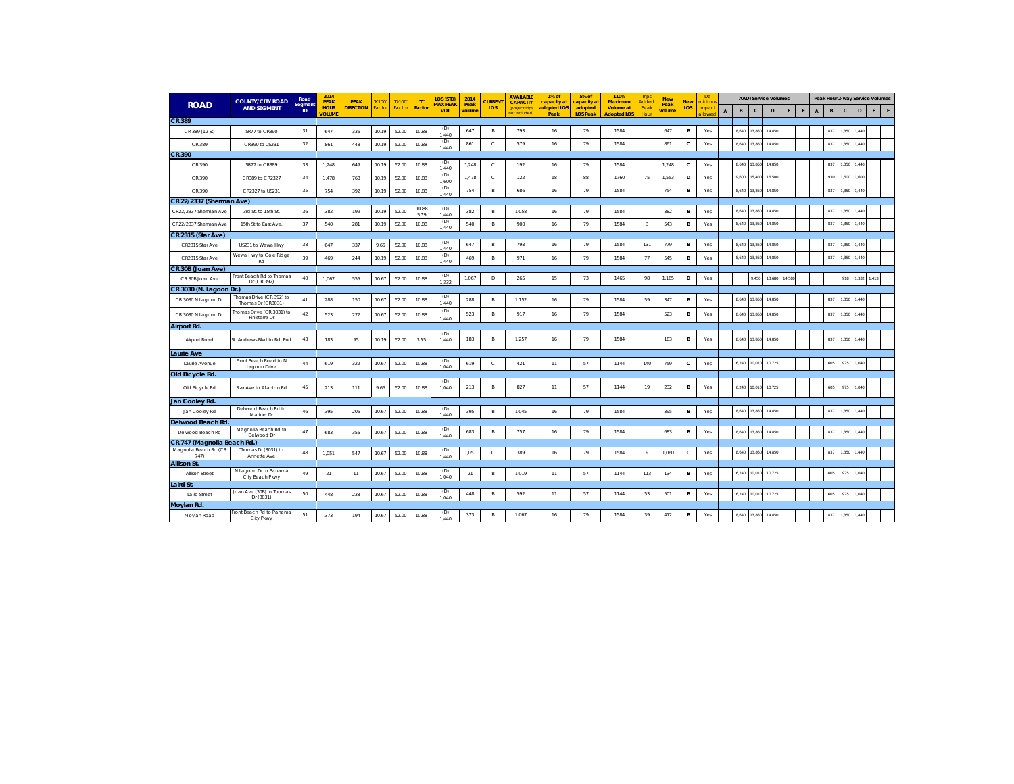|                                   | <b>COUNTY/CITY ROAD</b>                        | Road         | 2014<br><b>PEAK</b>          | <b>PEAK</b>      | "K100" | "D100" | <b>TP</b>     | LOS (STD)                     | 2014           | <b>CURREN</b> | <b>AVAILABLE</b><br><b>CAPACITY</b> | 1% of<br>capacity at | 5% of<br>capacity at       | 110%<br>Maximum                 | Trips<br>Added          | <b>New</b>     | <b>New</b>     | De<br>minim     |                |              |             | <b>AADT</b> Service Volumes |             |   |                |     |             |             | Peak Hour 2-way Service Volumes |  |
|-----------------------------------|------------------------------------------------|--------------|------------------------------|------------------|--------|--------|---------------|-------------------------------|----------------|---------------|-------------------------------------|----------------------|----------------------------|---------------------------------|-------------------------|----------------|----------------|-----------------|----------------|--------------|-------------|-----------------------------|-------------|---|----------------|-----|-------------|-------------|---------------------------------|--|
| <b>ROAD</b>                       | <b>AND SEGMENT</b>                             | Segmen<br>ID | <b>HOUR</b><br><b>VOLUME</b> | <b>DIRECTION</b> | Factor | Factor | Factor        | <b>MAX PEAK</b><br><b>VOL</b> | Peak<br>Volume | LOS           | (project trips<br>not included)     | adopted LOS<br>Peak  | adopted<br><b>LOS Peak</b> | Volume at<br><b>Adopted LOS</b> | Peak<br>Hour            | Peak<br>Volume | LOS            | impaç<br>allowe | $\overline{A}$ | $\mathbf{R}$ | $\mathbf c$ | D                           | $\mathsf E$ | F | $\overline{A}$ | B   | $\mathbf c$ | $\mathsf D$ | $\mathsf E$                     |  |
| <b>CR 389</b>                     |                                                |              |                              |                  |        |        |               |                               |                |               |                                     |                      |                            |                                 |                         |                |                |                 |                |              |             |                             |             |   |                |     |             |             |                                 |  |
| CR 389 (12 St)                    | SR77 to CR390                                  | 31           | 647                          | 336              | 10.19  | 52.00  | 10.88         | (D)<br>1.440                  | 647            | B             | 793                                 | 16                   | 79                         | 1584                            |                         | 647            | $\overline{B}$ | Yes             |                | 8,640 13,86  |             | 14,850                      |             |   |                | 837 | 1,350       | 1,440       |                                 |  |
| CR 389                            | CR390 to US231                                 | 32           | 861                          | 448              | 10.19  | 52.00  | 10.88         | (D)<br>1.440                  | 861            | $\mathbb C$   | 579                                 | 16                   | 79                         | 1584                            |                         | 861            | $\mathbf c$    | Yes             |                | 8.640        | 13,86       | 14,850                      |             |   |                | 837 | 1.350       | 1.440       |                                 |  |
| <b>CR 390</b>                     |                                                |              |                              |                  |        |        |               |                               |                |               |                                     |                      |                            |                                 |                         |                |                |                 |                |              |             |                             |             |   |                |     |             |             |                                 |  |
| CR 390                            | SR77 to CR389                                  | 33           | 1,248                        | 649              | 10.19  | 52.00  | 10.88         | (D)<br>1.440                  | 1,248          | C             | 192                                 | 16                   | 79                         | 1584                            |                         | 1,248          | $\mathbf c$    | Yes             |                | 8,640 13,860 |             | 14,850                      |             |   |                | 837 | 1,350       | 1,440       |                                 |  |
| CR 390                            | CR389 to CR2327                                | 34           | 1,478                        | 768              | 10.19  | 52.00  | 10.88         | (D)<br>1,600                  | 1,478          | $\mathbb C$   | 122                                 | 18                   | 88                         | 1760                            | 75                      | 1,553          | D              | Yes             |                | 9,600 15,400 |             | 16,500                      |             |   |                | 930 | 1.500       | 1,600       |                                 |  |
| CR 390                            | CR2327 to US231                                | 35           | 754                          | 392              | 10.19  | 52.00  | 10.88         | (D)<br>1,440                  | 754            | B             | 686                                 | 16                   | 79                         | 1584                            |                         | 754            | B              | Yes             |                | 8,640 13,860 |             | 14,850                      |             |   |                | 837 | 1,350       | 1,440       |                                 |  |
| CR 22/2337 (Sherman Ave)          |                                                |              |                              |                  |        |        |               |                               |                |               |                                     |                      |                            |                                 |                         |                |                |                 |                |              |             |                             |             |   |                |     |             |             |                                 |  |
| CR22/2337 Sherman Ave             | 3rd St. to 15th St.                            | 36           | 382                          | 199              | 10.19  | 52.00  | 10.88<br>5.79 | (D)<br>1,440                  | 382            | B             | 1,058                               | 16                   | 79                         | 1584                            |                         | 382            | $\overline{B}$ | Yes             |                | 8,640 13,86  |             | 14,850                      |             |   |                | 837 | 1,350       | 1,440       |                                 |  |
| CR22/2337 Sherman Ave             | 15th St to East Ave.                           | 37           | 540                          | 281              | 10.19  | 52.00  | 10.88         | (D)<br>1.440                  | 540            | B             | 900                                 | 16                   | 79                         | 1584                            | $\overline{\mathbf{3}}$ | 543            | $\,$ B         | Yes             |                | 8.640        | 13.86       | 14.850                      |             |   |                | 837 | 1.350       | 1.440       |                                 |  |
| <b>CR 2315 (Star Ave)</b>         |                                                |              |                              |                  |        |        |               |                               |                |               |                                     |                      |                            |                                 |                         |                |                |                 |                |              |             |                             |             |   |                |     |             |             |                                 |  |
| CR2315 Star Ave                   | US231 to Wewa Hwy                              | 38           | 647                          | 337              | 9.66   | 52.00  | 10.88         | (D)<br>1.440                  | 647            | B             | 793                                 | 16                   | 79                         | 1584                            | 131                     | 779            | B              | Yes             |                | 8,640        | 13,86       | 14,850                      |             |   |                | 837 | 1,350       | 1,440       |                                 |  |
| CR2315 Star Ave                   | Wewa Hwy to Cole Ridge<br>Rd                   | 39           | 469                          | 244              | 10.19  | 52.00  | 10.88         | (D)<br>1,440                  | 469            | $\mathsf{B}$  | 971                                 | 16                   | 79                         | 1584                            | 77                      | 545            | $\,$ B         | Yes             |                | 8,640 13,86  |             | 14,850                      |             |   |                | 837 | 1,350       | 1,440       |                                 |  |
| CR 30B (Joan Ave)                 |                                                |              |                              |                  |        |        |               |                               |                |               |                                     |                      |                            |                                 |                         |                |                |                 |                |              |             |                             |             |   |                |     |             |             |                                 |  |
| CR 30B Joan Ave                   | Front Beach Rd to Thomas<br>Dr (CR 392)        | 40           | 1,067                        | 555              | 10.67  | 52.00  | 10.88         | (D)<br>1,332                  | 1,067          | D             | 265                                 | 15                   | 73                         | 1465                            | 98                      | 1,165          | D              | Yes             |                |              | 9,450       | 13,680                      | 4,58        |   |                |     | 918         | 1,332       | 1,413                           |  |
| CR 3030 (N. Lagoon Dr.)           |                                                |              |                              |                  |        |        |               |                               |                |               |                                     |                      |                            |                                 |                         |                |                |                 |                |              |             |                             |             |   |                |     |             |             |                                 |  |
| CR 3030 N.Lagoon Dr.              | Thomas Drive (CR 392) to<br>Thomas Dr (CR3031) | 41           | 288                          | 150              | 10.67  | 52.00  | 10.88         | (D)<br>1,440                  | 288            | B.            | 1,152                               | 16                   | 79                         | 1584                            | 59                      | 347            | B              | Yes             |                | 8,640 13,86  |             | 14,850                      |             |   |                | 837 | 1,350       | 1,440       |                                 |  |
| CR 3030 N.Lagoon Dr.              | Thomas Drive (CR 3031) to<br>Finisterre Dr     | 42           | 523                          | 272              | 10.67  | 52.00  | 10.88         | (D)<br>1.440                  | 523            | B             | 917                                 | 16                   | 79                         | 1584                            |                         | 523            | $\,$ B         | Yes             |                | 8.640 13.860 |             | 14,850                      |             |   |                | 837 | 1.350       | 1.440       |                                 |  |
| Airport Rd.                       |                                                |              |                              |                  |        |        |               |                               |                |               |                                     |                      |                            |                                 |                         |                |                |                 |                |              |             |                             |             |   |                |     |             |             |                                 |  |
| Airport Road                      | St. Andrews Blvd to Rd. End                    | 43           | 183                          | 95               | 10.19  | 52.00  | 3.55          | (D)<br>1.440                  | 183            | B             | 1,257                               | 16                   | 79                         | 1584                            |                         | 183            | B              | Yes             |                | 8,640 13,860 |             | 14,850                      |             |   |                | 837 | 1,350       | 1,440       |                                 |  |
| Laurie Ave                        |                                                |              |                              |                  |        |        |               |                               |                |               |                                     |                      |                            |                                 |                         |                |                |                 |                |              |             |                             |             |   |                |     |             |             |                                 |  |
| Laurie Avenue                     | Front Beach Road to N                          | 44           | 619                          | 322              | 10.67  | 52.00  | 10.88         | (D)                           | 619            | $\mathbb C$   | 421                                 | 11                   | 57                         | 1144                            | 140                     | 759            | $\mathbf c$    | Yes             |                | 6,240 10,01  |             | 10,725                      |             |   |                | 605 | 975         | 1,040       |                                 |  |
|                                   | Lagoon Drive                                   |              |                              |                  |        |        |               | 1.040                         |                |               |                                     |                      |                            |                                 |                         |                |                |                 |                |              |             |                             |             |   |                |     |             |             |                                 |  |
| Old Bicycle Rd.<br>Old Bicycle Rd | Star Ave to Allanton Rd                        | 45           | 213                          | 111              | 9.66   | 52.00  | 10.88         | (D)<br>1,040                  | 213            | B.            | 827                                 | 11                   | 57                         | 1144                            | 19                      | 232            | B              | Yes             |                | 6,240        | 10,010      | 10,725                      |             |   |                | 605 | 975         | 1,040       |                                 |  |
|                                   |                                                |              |                              |                  |        |        |               |                               |                |               |                                     |                      |                            |                                 |                         |                |                |                 |                |              |             |                             |             |   |                |     |             |             |                                 |  |
| Jan Cooley Rd.                    | Delwood Beach Rd to                            |              |                              |                  |        |        |               | (D)                           |                |               |                                     |                      |                            |                                 |                         |                |                |                 |                |              |             |                             |             |   |                |     |             |             |                                 |  |
| Jan Cooley Rd                     | Mariner Dr                                     | 46           | 395                          | 205              | 10.67  | 52.00  | 10.88         | 1.440                         | 395            | B             | 1,045                               | 16                   | 79                         | 1584                            |                         | 395            | B              | Yes             |                | 8,640 13,860 |             | 14,850                      |             |   |                | 837 | 1,350       | 1,440       |                                 |  |
| Delwood Beach Rd.                 |                                                |              |                              |                  |        |        |               |                               |                |               |                                     |                      |                            |                                 |                         |                |                |                 |                |              |             |                             |             |   |                |     |             |             |                                 |  |
| Delwood Beach Rd                  | Magnolia Beach Rd to<br>Delwood Dr             | 47           | 683                          | 355              | 10.67  | 52.00  | 10.88         | (D)<br>1.440                  | 683            | B             | 757                                 | 16                   | 79                         | 1584                            |                         | 683            | B              | Yes             |                | 8,640 13,860 |             | 14,850                      |             |   |                | 837 | 1.350       | 1,440       |                                 |  |
| CR 747 (Magnolia Beach Rd.)       |                                                |              |                              |                  |        |        |               |                               |                |               |                                     |                      |                            |                                 |                         |                |                |                 |                |              |             |                             |             |   |                |     |             |             |                                 |  |
| Magnolia Beach Rd (CR<br>747)     | Thomas Dr (3031) to<br>Annette Ave             | 48           | 1,051                        | 547              | 10.67  | 52.00  | 10.88         | (D)<br>1,440                  | 1,051          | C             | 389                                 | 16                   | 79                         | 1584                            | 9                       | 1,060          | c              | Yes             |                | 8,640 13,86  |             | 14,850                      |             |   |                | 837 | 1,350       | 1,440       |                                 |  |
| <b>Allison St.</b>                |                                                |              |                              |                  |        |        |               |                               |                |               |                                     |                      |                            |                                 |                         |                |                |                 |                |              |             |                             |             |   |                |     |             |             |                                 |  |
| Allison Street                    | N Lagoon Dr to Panama<br>City Beach Pkwy       | 49           | 21                           | 11               | 10.67  | 52.00  | 10.88         | (D)<br>1.040                  | 21             | B             | 1,019                               | 11                   | 57                         | 1144                            | 113                     | 134            | $\,$ B         | Yes             |                | 6,240        | 10,01       | 10,725                      |             |   |                | 605 | 975         | 1,040       |                                 |  |
| Laird St.                         |                                                |              |                              |                  |        |        |               |                               |                |               |                                     |                      |                            |                                 |                         |                |                |                 |                |              |             |                             |             |   |                |     |             |             |                                 |  |
| Laird Street                      | Joan Ave (30B) to Thomas<br>Dr (3031)          | 50           | 448                          | 233              | 10.67  | 52.00  | 10.88         | (D)<br>1,040                  | 448            | B             | 592                                 | 11                   | 57                         | 1144                            | 53                      | 501            | B              | Yes             |                | 6,240 10,01  |             | 10,725                      |             |   |                | 605 | 975         | 1,040       |                                 |  |
| Moylan Rd.                        |                                                |              |                              |                  |        |        |               |                               |                |               |                                     |                      |                            |                                 |                         |                |                |                 |                |              |             |                             |             |   |                |     |             |             |                                 |  |
| Moylan Road                       | ront Beach Rd to Panama<br>City Pkwy           | 51           | 373                          | 194              | 10.67  | 52.00  | 10.88         | (D)<br>1.440                  | 373            | B             | 1,067                               | 16                   | 79                         | 1584                            | 39                      | 412            | B              | Yes             |                | 8,640 13,860 |             | 14,850                      |             |   |                | 837 | 1,350       | 1,440       |                                 |  |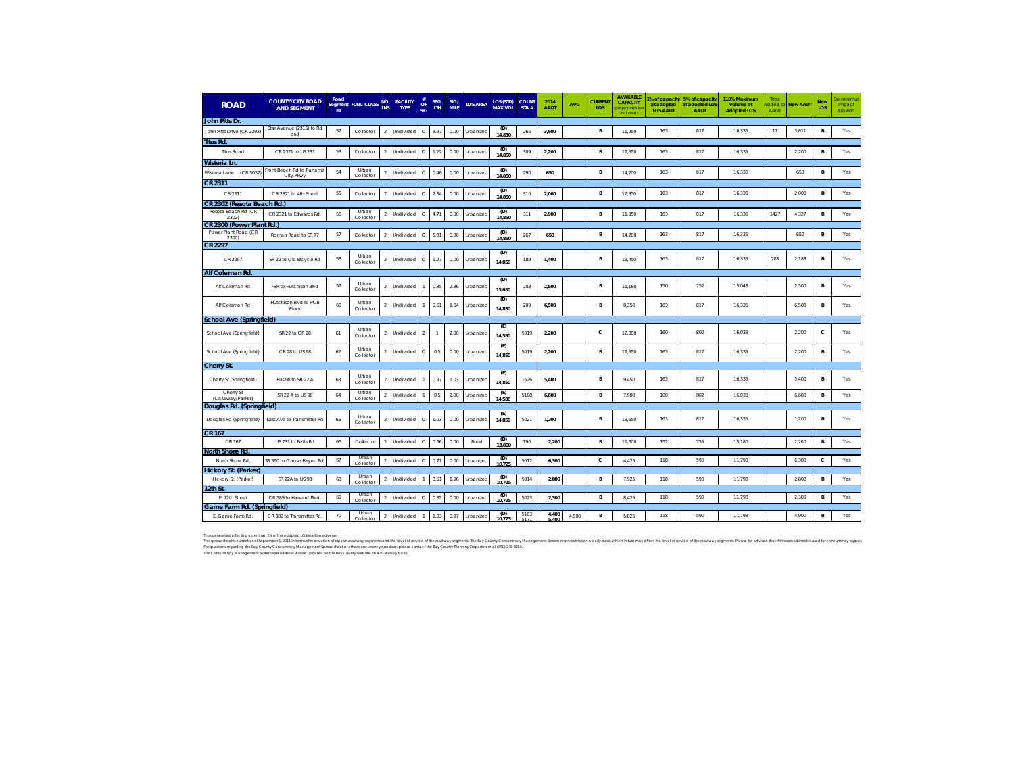| <b>ROAD</b>                                  | <b>COUNTY/CITY ROAD</b><br><b>AND SEGMENT</b> | Road<br>ID | Segment FUNC CLASS | <b>LNS</b>     | <b>NO. FACILITY</b><br><b>TYPE</b> | OF (<br><b>SIG</b> | SEG.<br>LTH.   | SIG/<br>MILE | <b>LOS AREA</b> | LOS (STD)<br><b>MAX VOL</b> | <b>COUNT</b><br>STA# | 2014<br><b>AADT</b> | <b>AVG</b> | <b>CURREN</b><br>LOS | <b>AVAILABLE</b><br><b>CAPACITY</b><br>rolect trips n<br>included) | at adopted<br><b>LOS AADT</b> | % of capacity 5% of capacity<br>at adopted LOS<br><b>AADT</b> | 110% Maximum<br>Volume at<br><b>Adopted LOS</b> | Trips<br>Added to<br><b>AADT</b> | <b>New AADT</b> | <b>New</b><br>LOS | e minimu<br>impact<br>allowed |
|----------------------------------------------|-----------------------------------------------|------------|--------------------|----------------|------------------------------------|--------------------|----------------|--------------|-----------------|-----------------------------|----------------------|---------------------|------------|----------------------|--------------------------------------------------------------------|-------------------------------|---------------------------------------------------------------|-------------------------------------------------|----------------------------------|-----------------|-------------------|-------------------------------|
| John Pitts Dr.                               |                                               |            |                    |                |                                    |                    |                |              |                 |                             |                      |                     |            |                      |                                                                    |                               |                                                               |                                                 |                                  |                 |                   |                               |
| John Pitts Drive (CR 2293)                   | Star Avenue (2315) to Rd<br>end               | 52         | Collector          | $\overline{2}$ | Undivided                          | $\circ$            | 3.97           | 0.00         | Urbanized       | (D)<br>14.850               | 266                  | 3,600               |            | В                    | 11.250                                                             | 163                           | 817                                                           | 16,335                                          | 11                               | 3,611           | в                 | Yes                           |
| Titus Rd.                                    |                                               |            |                    |                |                                    |                    |                |              |                 |                             |                      |                     |            |                      |                                                                    |                               |                                                               |                                                 |                                  |                 |                   |                               |
| <b>Titus Road</b>                            | CR 2321 to US 231                             | 53         | Collector          | $\overline{2}$ | Undivided                          | $\circ$            | 1.22           | 0.00         | Urbanized       | (D)<br>14,850               | 309                  | 2,200               |            | В                    | 12,650                                                             | 163                           | 817                                                           | 16,335                                          |                                  | 2,200           | в                 | Yes                           |
| Wisteria Ln.                                 |                                               |            |                    |                |                                    |                    |                |              |                 |                             |                      |                     |            |                      |                                                                    |                               |                                                               |                                                 |                                  |                 |                   |                               |
| Wisteria Lane (CR 3037)                      | ront Beach Rd to Panama<br>City Pkwy          | 54         | Urban<br>Collector | $\mathcal{D}$  | Undivided                          | $^{\circ}$         | 0.46           | 0.00         | Urbanized       | (D)<br>14,850               | 290                  | 650                 |            | B                    | 14,200                                                             | 163                           | 817                                                           | 16.335                                          |                                  | 650             | B                 | Yes                           |
| <b>CR 2311</b>                               |                                               |            |                    |                |                                    |                    |                |              |                 |                             |                      |                     |            |                      |                                                                    |                               |                                                               |                                                 |                                  |                 |                   |                               |
| CR 2311                                      | CR 2321 to 4th Street                         | 55         | Collector          | $\overline{2}$ | Undivided                          | $\circ$            | 2.84           | 0.00         | Urbanized       | (D)<br>14.850               | 310                  | 2,000               |            | B                    | 12,850                                                             | 163                           | 817                                                           | 16,335                                          |                                  | 2,000           | в                 | Yes                           |
| CR 2302 (Resota Beach Rd.)                   |                                               |            |                    |                |                                    |                    |                |              |                 |                             |                      |                     |            |                      |                                                                    |                               |                                                               |                                                 |                                  |                 |                   |                               |
| Resota Beach Rd (CR<br>2302)                 | CR 2321 to Edwards Rd.                        | 56         | Urban<br>Collector | $\overline{2}$ | Undivided                          | $\circ$            | 4.71           | 0.00         | Urbanized       | (D)<br>14.850               | 311                  | 2,900               |            | в                    | 11,950                                                             | 163                           | 817                                                           | 16,335                                          | 1427                             | 4,327           | в                 | Yes                           |
| CR 2300 (Power Plant Rd.)                    |                                               |            |                    |                |                                    |                    |                |              |                 |                             |                      |                     |            |                      |                                                                    |                               |                                                               |                                                 |                                  |                 |                   |                               |
| Power Plant Road (CR<br>2300)                | Roman Road to SR 77                           | 57         | Collector          | $\overline{2}$ | Undivided                          | $\circ$            | 5.01           | 0.00         | Urbanized       | (D)<br>14,850               | 267                  | 650                 |            | B                    | 14,200                                                             | 163                           | 817                                                           | 16.335                                          |                                  | 650             | в                 | Yes                           |
| <b>CR 2297</b>                               |                                               |            |                    |                |                                    |                    |                |              |                 |                             |                      |                     |            |                      |                                                                    |                               |                                                               |                                                 |                                  |                 |                   |                               |
| CR 2297                                      | SR 22 to Old Bicycle Rd                       | 58         | Urban<br>Collector | $\mathcal{P}$  | Undivided                          | $\Omega$           | 1.27           | 0.00         | Urbanized       | (D)<br>14,850               | 189                  | 1,400               |            | В                    | 13,450                                                             | 163                           | 817                                                           | 16,335                                          | 783                              | 2,183           | в                 | Yes                           |
| Alf Coleman Rd.                              |                                               |            |                    |                |                                    |                    |                |              |                 |                             |                      |                     |            |                      |                                                                    |                               |                                                               |                                                 |                                  |                 |                   |                               |
| Alf Coleman Rd                               | FBR to Hutchison Blvd                         | 59         | Urban<br>Collector | $\overline{2}$ | Undivided                          |                    | 0.35           | 2.86         | Urbanized       | (D)<br>13,680               | 208                  | 2,500               |            | $\mathbf{B}$         | 11,180                                                             | 150                           | 752                                                           | 15,048                                          |                                  | 2.500           | в                 | Yes                           |
| Alf Coleman Rd                               | Hutchison Blvd to PCB<br>Pkwy                 | 60         | Urban<br>Collector | $\overline{2}$ | Undivided                          | 1                  | 0.61           | 1.64         | Urbanized       | (D)<br>14,850               | 209                  | 6,500               |            | в                    | 8,350                                                              | 163                           | 817                                                           | 16,335                                          |                                  | 6,500           | в                 | Yes                           |
| <b>School Ave (Springfield)</b>              |                                               |            |                    |                |                                    |                    |                |              |                 |                             |                      |                     |            |                      |                                                                    |                               |                                                               |                                                 |                                  |                 |                   |                               |
| School Ave (Springfield)                     | SR 22 to CR 28                                | 61         | Urban<br>Collector | $\mathcal{P}$  | Undivided                          | $\mathcal{D}$      | $\overline{1}$ | 2.00         | Urbanized       | (E)<br>14,580               | 5019                 | 2,200               |            | $\mathbf{C}$         | 12.380                                                             | 160                           | 802                                                           | 16,038                                          |                                  | 2,200           | $\mathbf c$       | Yes                           |
| School Ave (Springfield)                     | CR 28 to US 98                                | 62         | Urban<br>Collector | $\overline{2}$ | Undivided                          | $\circ$            | 0.5            | 0.00         | Urbanized       | (E)<br>14,850               | 5019                 | 2,200               |            | в                    | 12,650                                                             | 163                           | 817                                                           | 16,335                                          |                                  | 2,200           | в                 | Yes                           |
| Cherry St.                                   |                                               |            |                    |                |                                    |                    |                |              |                 |                             |                      |                     |            |                      |                                                                    |                               |                                                               |                                                 |                                  |                 |                   |                               |
| Cherry St (Springfield)                      | Bus 98 to SR 22 A                             | 63         | Urban<br>Collector | $\mathcal{D}$  | Undivided                          |                    | 0.97           | 1.03         | Urbanized       | (E)<br>14,850               | 1626                 | 5,400               |            | B                    | 9,450                                                              | 163                           | 817                                                           | 16.335                                          |                                  | 5.400           | B                 | Yes                           |
| Cherry St<br>(Callaway/Parker)               | SR 22 A to US 98                              | 64         | Urban<br>Collector | $\overline{2}$ | Undivided                          |                    | 0.5            | 2.00         | Urbanized       | (E)<br>14.580               | 5188                 | 6,600               |            | $\mathbf{B}$         | 7,980                                                              | 160                           | 802                                                           | 16,038                                          |                                  | 6,600           | в                 | Yes                           |
| Douglas Rd. (Springfield)                    |                                               |            |                    |                |                                    |                    |                |              |                 |                             |                      |                     |            |                      |                                                                    |                               |                                                               |                                                 |                                  |                 |                   |                               |
| Douglas Rd (Springfield)                     | East Ave to Transmitter Rd                    | 65         | Urban<br>Collector | $\overline{2}$ | Undivided                          | $\circ$            | 1.03           | 0.00         | Urbanized       | (E)<br>14,850               | 5021                 | 1,200               |            | В                    | 13,650                                                             | 163                           | 817                                                           | 16,335                                          |                                  | 1,200           | в                 | Yes                           |
| <b>CR 167</b>                                |                                               |            |                    |                |                                    |                    |                |              |                 |                             |                      |                     |            |                      |                                                                    |                               |                                                               |                                                 |                                  |                 |                   |                               |
| CR 167                                       | US 231 to Betts Rd                            | 66         | Collector          | $\overline{2}$ | Undivided                          | $\circ$            | 0.66           | 0.00         | Rural           | (D)<br>13,800               | 190                  | 2,200               |            | В                    | 11,600                                                             | 152                           | 759                                                           | 15,180                                          |                                  | 2,200           | в                 | Yes                           |
| North Shore Rd.                              |                                               | 67         | Urban              |                |                                    |                    |                |              |                 | (D)                         | 5012                 |                     |            | $\mathbf{C}$         |                                                                    | 118                           | 590                                                           | 11.798                                          |                                  | 6,300           | $\mathsf{c}$      | Yes                           |
| North Shore Rd.                              | SR 390 to Goose Bayou Rd                      |            | Collector          | $\overline{2}$ | Undivided                          | $^{\circ}$         | 0.71           | 0.00         | Urbanized       | 10,725                      |                      | 6,300               |            |                      | 4,425                                                              |                               |                                                               |                                                 |                                  |                 |                   |                               |
| Hickory St. (Parker)<br>Hickory St. (Parker) | SR 22A to US 98                               | 68         | Urban              | $\overline{2}$ | Undivided                          |                    | 0.51           | 1.96         | Urbanized       | (D)                         | 5014                 | 2,800               |            | в                    | 7,925                                                              | 118                           | 590                                                           | 11,798                                          |                                  | 2,800           | в                 | Yes                           |
| 12th St.                                     |                                               |            | Collector          |                |                                    |                    |                |              |                 | 10,725                      |                      |                     |            |                      |                                                                    |                               |                                                               |                                                 |                                  |                 |                   |                               |
| E. 12th Street                               | CR 389 to Harvard Blvd.                       | 69         | Urban<br>Collector | $\overline{2}$ | Undivided                          | $^{\circ}$         | 0.85           | 0.00         | Urbanized       | (D)<br>10,725               | 5023                 | 2,300               |            | В                    | 8.425                                                              | 118                           | 590                                                           | 11.798                                          |                                  | 2,300           | в                 | Yes                           |
| Game Farm Rd. (Springfield)                  |                                               |            |                    |                |                                    |                    |                |              |                 |                             |                      |                     |            |                      |                                                                    |                               |                                                               |                                                 |                                  |                 |                   |                               |
| E. Game Farm Rd.                             | CR 389 to Transmitter Rd.                     | 70         | Urban<br>Collector | $\mathcal{P}$  | Undivided                          |                    | 1.03           | 0.97         | Urbanized       | (D)<br>10.725               | 5163<br>5171         | 4.400<br>5.400      | 4,900      | B                    | 5.825                                                              | 118                           | 590                                                           | 11,798                                          |                                  | 4.900           | в                 | Yes                           |

lips persona affecting mathan in discussional contents. On the index and matham on the invision the invision the content of the content y premis he and content of the content of the content of the content of the content of